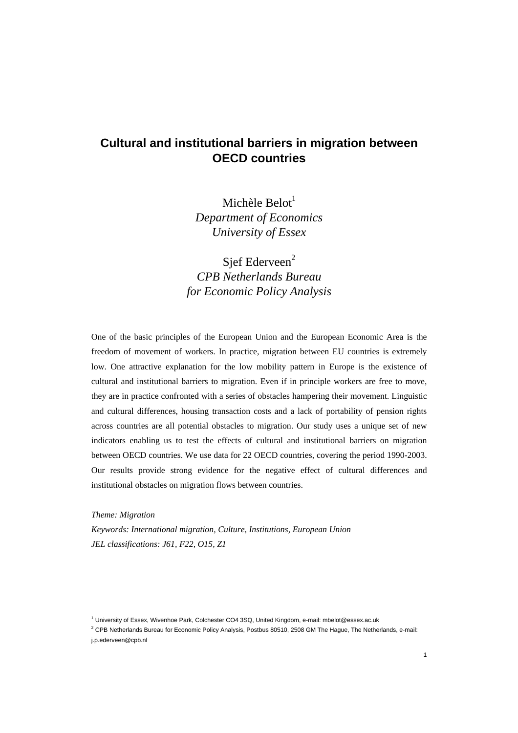# **Cultural and institutional barriers in migration between OECD countries**

Michèle Belot $<sup>1</sup>$ </sup> *Department of Economics University of Essex*

Sief Ederveen<sup>2</sup> *CPB Netherlands Bureau for Economic Policy Analysis* 

One of the basic principles of the European Union and the European Economic Area is the freedom of movement of workers. In practice, migration between EU countries is extremely low. One attractive explanation for the low mobility pattern in Europe is the existence of cultural and institutional barriers to migration. Even if in principle workers are free to move, they are in practice confronted with a series of obstacles hampering their movement. Linguistic and cultural differences, housing transaction costs and a lack of portability of pension rights across countries are all potential obstacles to migration. Our study uses a unique set of new indicators enabling us to test the effects of cultural and institutional barriers on migration between OECD countries. We use data for 22 OECD countries, covering the period 1990-2003. Our results provide strong evidence for the negative effect of cultural differences and institutional obstacles on migration flows between countries.

*Theme: Migration Keywords: International migration, Culture, Institutions, European Union JEL classifications: J61, F22, O15, Z1* 

<sup>1</sup> University of Essex, Wivenhoe Park, Colchester CO4 3SQ, United Kingdom, e-mail: mbelot@essex.ac.uk

 $2$  CPB Netherlands Bureau for Economic Policy Analysis, Postbus 80510, 2508 GM The Hague, The Netherlands, e-mail: j.p.ederveen@cpb.nl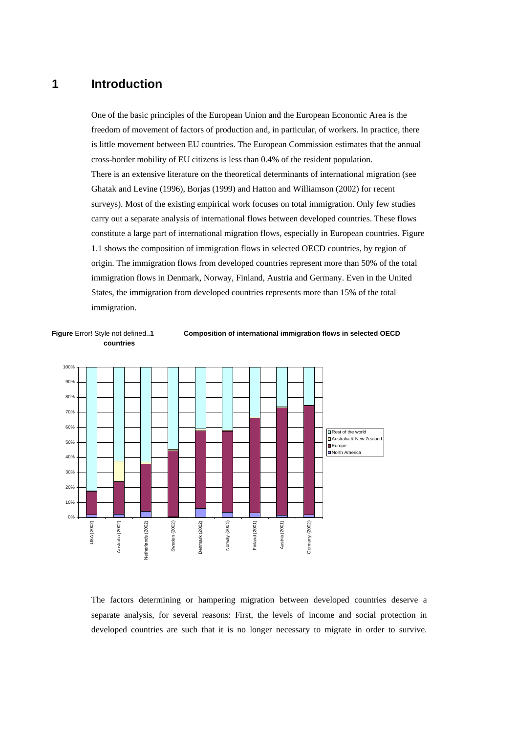# **1 Introduction**

One of the basic principles of the European Union and the European Economic Area is the freedom of movement of factors of production and, in particular, of workers. In practice, there is little movement between EU countries. The European Commission estimates that the annual cross-border mobility of EU citizens is less than 0.4% of the resident population. There is an extensive literature on the theoretical determinants of international migration (see Ghatak and Levine (1996), Borjas (1999) and Hatton and Williamson (2002) for recent surveys). Most of the existing empirical work focuses on total immigration. Only few studies carry out a separate analysis of international flows between developed countries. These flows constitute a large part of international migration flows, especially in European countries. Figure 1.1 shows the composition of immigration flows in selected OECD countries, by region of origin. The immigration flows from developed countries represent more than 50% of the total immigration flows in Denmark, Norway, Finland, Austria and Germany. Even in the United States, the immigration from developed countries represents more than 15% of the total immigration.





The factors determining or hampering migration between developed countries deserve a separate analysis, for several reasons: First, the levels of income and social protection in developed countries are such that it is no longer necessary to migrate in order to survive.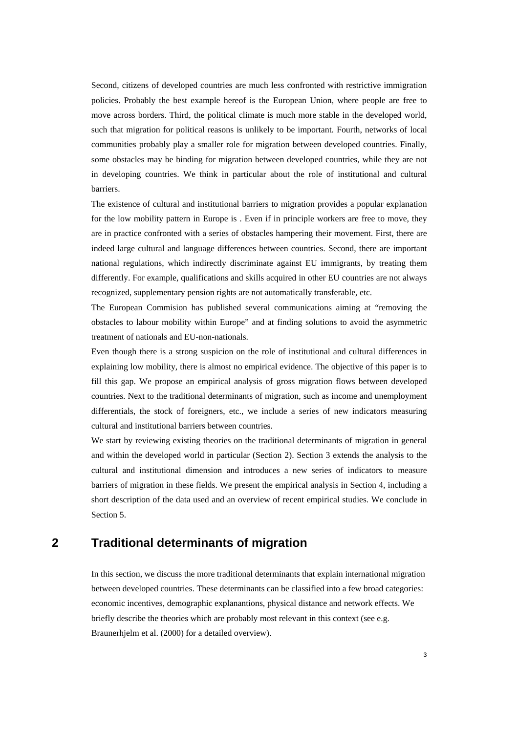Second, citizens of developed countries are much less confronted with restrictive immigration policies. Probably the best example hereof is the European Union, where people are free to move across borders. Third, the political climate is much more stable in the developed world, such that migration for political reasons is unlikely to be important. Fourth, networks of local communities probably play a smaller role for migration between developed countries. Finally, some obstacles may be binding for migration between developed countries, while they are not in developing countries. We think in particular about the role of institutional and cultural barriers.

The existence of cultural and institutional barriers to migration provides a popular explanation for the low mobility pattern in Europe is . Even if in principle workers are free to move, they are in practice confronted with a series of obstacles hampering their movement. First, there are indeed large cultural and language differences between countries. Second, there are important national regulations, which indirectly discriminate against EU immigrants, by treating them differently. For example, qualifications and skills acquired in other EU countries are not always recognized, supplementary pension rights are not automatically transferable, etc.

The European Commision has published several communications aiming at "removing the obstacles to labour mobility within Europe" and at finding solutions to avoid the asymmetric treatment of nationals and EU-non-nationals.

Even though there is a strong suspicion on the role of institutional and cultural differences in explaining low mobility, there is almost no empirical evidence. The objective of this paper is to fill this gap. We propose an empirical analysis of gross migration flows between developed countries. Next to the traditional determinants of migration, such as income and unemployment differentials, the stock of foreigners, etc., we include a series of new indicators measuring cultural and institutional barriers between countries.

We start by reviewing existing theories on the traditional determinants of migration in general and within the developed world in particular (Section 2). Section 3 extends the analysis to the cultural and institutional dimension and introduces a new series of indicators to measure barriers of migration in these fields. We present the empirical analysis in Section 4, including a short description of the data used and an overview of recent empirical studies. We conclude in Section 5.

# **2 Traditional determinants of migration**

In this section, we discuss the more traditional determinants that explain international migration between developed countries. These determinants can be classified into a few broad categories: economic incentives, demographic explanantions, physical distance and network effects. We briefly describe the theories which are probably most relevant in this context (see e.g. Braunerhjelm et al. (2000) for a detailed overview).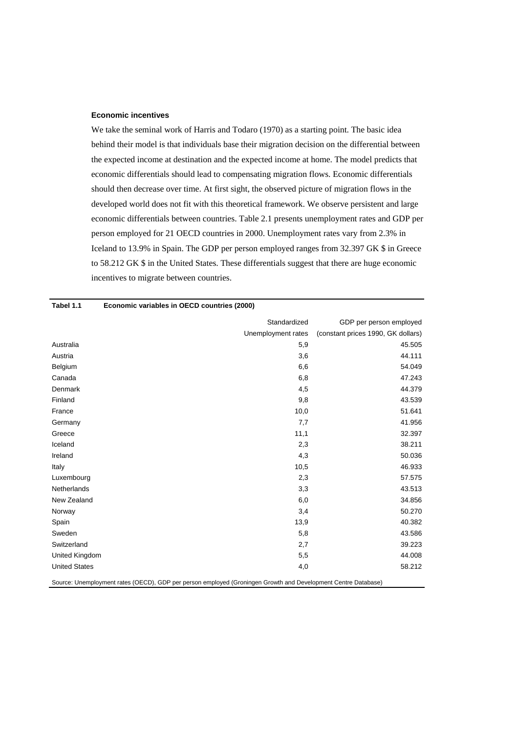### **Economic incentives**

We take the seminal work of Harris and Todaro (1970) as a starting point. The basic idea behind their model is that individuals base their migration decision on the differential between the expected income at destination and the expected income at home. The model predicts that economic differentials should lead to compensating migration flows. Economic differentials should then decrease over time. At first sight, the observed picture of migration flows in the developed world does not fit with this theoretical framework. We observe persistent and large economic differentials between countries. Table 2.1 presents unemployment rates and GDP per person employed for 21 OECD countries in 2000. Unemployment rates vary from 2.3% in Iceland to 13.9% in Spain. The GDP per person employed ranges from 32.397 GK \$ in Greece to 58.212 GK \$ in the United States. These differentials suggest that there are huge economic incentives to migrate between countries.

| Tabel 1.1            | Economic variables in OECD countries (2000) |                                    |
|----------------------|---------------------------------------------|------------------------------------|
|                      | Standardized                                | GDP per person employed            |
|                      | Unemployment rates                          | (constant prices 1990, GK dollars) |
| Australia            | 5,9                                         | 45.505                             |
| Austria              | 3,6                                         | 44.111                             |
| Belgium              | 6,6                                         | 54.049                             |
| Canada               | 6,8                                         | 47.243                             |
| Denmark              | 4,5                                         | 44.379                             |
| Finland              | 9,8                                         | 43.539                             |
| France               | 10,0                                        | 51.641                             |
| Germany              | 7,7                                         | 41.956                             |
| Greece               | 11,1                                        | 32.397                             |
| Iceland              | 2,3                                         | 38.211                             |
| Ireland              | 4,3                                         | 50.036                             |
| Italy                | 10,5                                        | 46.933                             |
| Luxembourg           | 2,3                                         | 57.575                             |
| Netherlands          | 3,3                                         | 43.513                             |
| New Zealand          | 6,0                                         | 34.856                             |
| Norway               | 3,4                                         | 50.270                             |
| Spain                | 13,9                                        | 40.382                             |
| Sweden               | 5,8                                         | 43.586                             |
| Switzerland          | 2,7                                         | 39.223                             |
| United Kingdom       | 5,5                                         | 44.008                             |
| <b>United States</b> | 4,0                                         | 58.212                             |
|                      |                                             |                                    |

Source: Unemployment rates (OECD), GDP per person employed (Groningen Growth and Development Centre Database)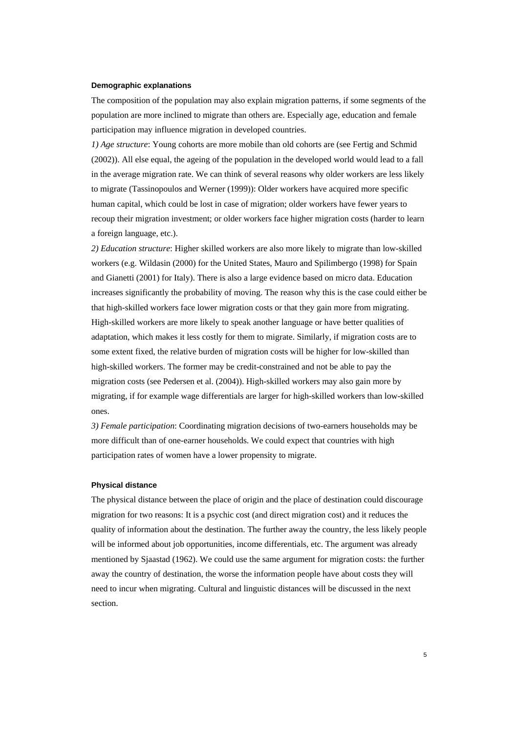#### **Demographic explanations**

The composition of the population may also explain migration patterns, if some segments of the population are more inclined to migrate than others are. Especially age, education and female participation may influence migration in developed countries.

*1) Age structure*: Young cohorts are more mobile than old cohorts are (see Fertig and Schmid (2002)). All else equal, the ageing of the population in the developed world would lead to a fall in the average migration rate. We can think of several reasons why older workers are less likely to migrate (Tassinopoulos and Werner (1999)): Older workers have acquired more specific human capital, which could be lost in case of migration; older workers have fewer years to recoup their migration investment; or older workers face higher migration costs (harder to learn a foreign language, etc.).

*2) Education structure*: Higher skilled workers are also more likely to migrate than low-skilled workers (e.g. Wildasin (2000) for the United States, Mauro and Spilimbergo (1998) for Spain and Gianetti (2001) for Italy). There is also a large evidence based on micro data. Education increases significantly the probability of moving. The reason why this is the case could either be that high-skilled workers face lower migration costs or that they gain more from migrating. High-skilled workers are more likely to speak another language or have better qualities of adaptation, which makes it less costly for them to migrate. Similarly, if migration costs are to some extent fixed, the relative burden of migration costs will be higher for low-skilled than high-skilled workers. The former may be credit-constrained and not be able to pay the migration costs (see Pedersen et al. (2004)). High-skilled workers may also gain more by migrating, if for example wage differentials are larger for high-skilled workers than low-skilled ones.

*3) Female participation*: Coordinating migration decisions of two-earners households may be more difficult than of one-earner households. We could expect that countries with high participation rates of women have a lower propensity to migrate.

#### **Physical distance**

The physical distance between the place of origin and the place of destination could discourage migration for two reasons: It is a psychic cost (and direct migration cost) and it reduces the quality of information about the destination. The further away the country, the less likely people will be informed about job opportunities, income differentials, etc. The argument was already mentioned by Sjaastad (1962). We could use the same argument for migration costs: the further away the country of destination, the worse the information people have about costs they will need to incur when migrating. Cultural and linguistic distances will be discussed in the next section.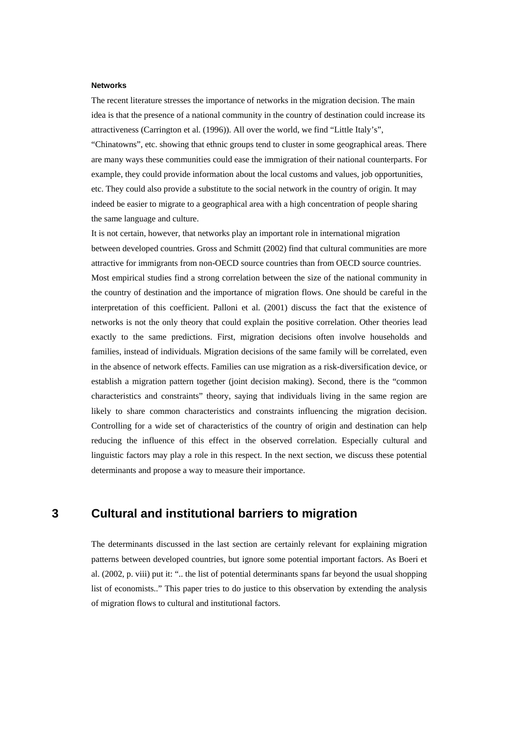#### **Networks**

The recent literature stresses the importance of networks in the migration decision. The main idea is that the presence of a national community in the country of destination could increase its attractiveness (Carrington et al. (1996)). All over the world, we find "Little Italy's",

"Chinatowns", etc. showing that ethnic groups tend to cluster in some geographical areas. There are many ways these communities could ease the immigration of their national counterparts. For example, they could provide information about the local customs and values, job opportunities, etc. They could also provide a substitute to the social network in the country of origin. It may indeed be easier to migrate to a geographical area with a high concentration of people sharing the same language and culture.

It is not certain, however, that networks play an important role in international migration between developed countries. Gross and Schmitt (2002) find that cultural communities are more attractive for immigrants from non-OECD source countries than from OECD source countries. Most empirical studies find a strong correlation between the size of the national community in the country of destination and the importance of migration flows. One should be careful in the interpretation of this coefficient. Palloni et al. (2001) discuss the fact that the existence of networks is not the only theory that could explain the positive correlation. Other theories lead exactly to the same predictions. First, migration decisions often involve households and families, instead of individuals. Migration decisions of the same family will be correlated, even in the absence of network effects. Families can use migration as a risk-diversification device, or establish a migration pattern together (joint decision making). Second, there is the "common characteristics and constraints" theory, saying that individuals living in the same region are likely to share common characteristics and constraints influencing the migration decision. Controlling for a wide set of characteristics of the country of origin and destination can help reducing the influence of this effect in the observed correlation. Especially cultural and linguistic factors may play a role in this respect. In the next section, we discuss these potential determinants and propose a way to measure their importance.

# **3 Cultural and institutional barriers to migration**

The determinants discussed in the last section are certainly relevant for explaining migration patterns between developed countries, but ignore some potential important factors. As Boeri et al. (2002, p. viii) put it: ".. the list of potential determinants spans far beyond the usual shopping list of economists.." This paper tries to do justice to this observation by extending the analysis of migration flows to cultural and institutional factors.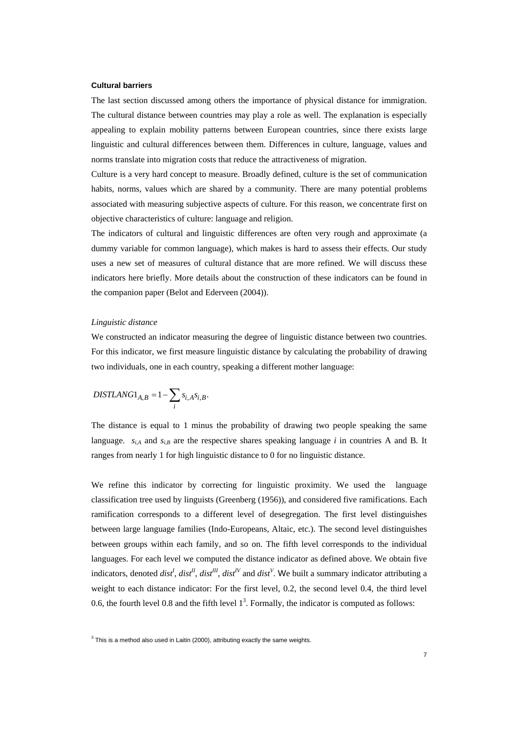#### **Cultural barriers**

The last section discussed among others the importance of physical distance for immigration. The cultural distance between countries may play a role as well. The explanation is especially appealing to explain mobility patterns between European countries, since there exists large linguistic and cultural differences between them. Differences in culture, language, values and norms translate into migration costs that reduce the attractiveness of migration.

Culture is a very hard concept to measure. Broadly defined, culture is the set of communication habits, norms, values which are shared by a community. There are many potential problems associated with measuring subjective aspects of culture. For this reason, we concentrate first on objective characteristics of culture: language and religion.

The indicators of cultural and linguistic differences are often very rough and approximate (a dummy variable for common language), which makes is hard to assess their effects. Our study uses a new set of measures of cultural distance that are more refined. We will discuss these indicators here briefly. More details about the construction of these indicators can be found in the companion paper (Belot and Ederveen (2004)).

### *Linguistic distance*

We constructed an indicator measuring the degree of linguistic distance between two countries. For this indicator, we first measure linguistic distance by calculating the probability of drawing two individuals, one in each country, speaking a different mother language:

$$
DISTLANG1_{A,B} = 1 - \sum_{i} s_{i,A} s_{i,B}.
$$

The distance is equal to 1 minus the probability of drawing two people speaking the same language.  $s_{i,A}$  and  $s_{i,B}$  are the respective shares speaking language *i* in countries A and B. It ranges from nearly 1 for high linguistic distance to 0 for no linguistic distance.

We refine this indicator by correcting for linguistic proximity. We used the language classification tree used by linguists (Greenberg (1956)), and considered five ramifications. Each ramification corresponds to a different level of desegregation. The first level distinguishes between large language families (Indo-Europeans, Altaic, etc.). The second level distinguishes between groups within each family, and so on. The fifth level corresponds to the individual languages. For each level we computed the distance indicator as defined above. We obtain five indicators, denoted *dist<sup>1</sup>*, *dist<sup>II</sup>*, *dist<sup>II</sup>*, *dist<sup>IV</sup>* and *dist<sup>V</sup>*. We built a summary indicator attributing a weight to each distance indicator: For the first level, 0.2, the second level 0.4, the third level 0.6, the fourth level 0.8 and the fifth level  $1<sup>3</sup>$ . Formally, the indicator is computed as follows:

 $3$  This is a method also used in Laitin (2000), attributing exactly the same weights.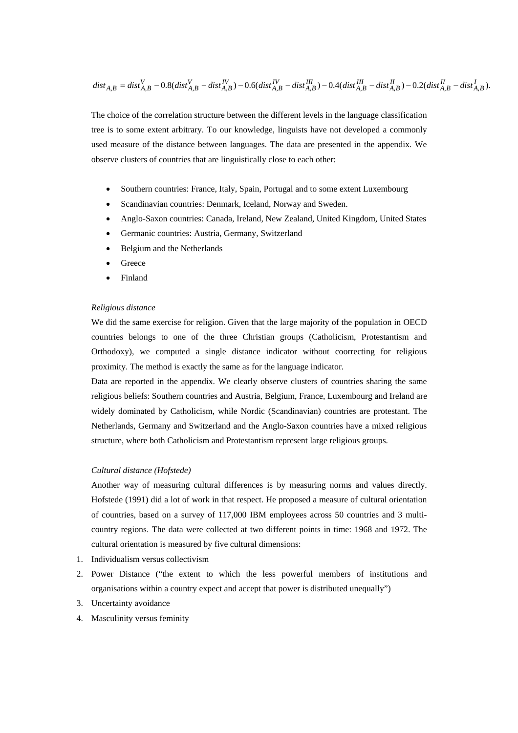$$
dist_{A,B}=dist_{A,B}^V-0.8 (dist_{A,B}^V-dist_{A,B}^{IV})-0.6 (dist_{A,B}^{IV}-dist_{A,B}^{III})-0.4 (dist_{A,B}^{III}-dist_{A,B}^{II})-0.2 (dist_{A,B}^{II}-dist_{A,B}^{I}).
$$

The choice of the correlation structure between the different levels in the language classification tree is to some extent arbitrary. To our knowledge, linguists have not developed a commonly used measure of the distance between languages. The data are presented in the appendix. We observe clusters of countries that are linguistically close to each other:

- Southern countries: France, Italy, Spain, Portugal and to some extent Luxembourg
- Scandinavian countries: Denmark, Iceland, Norway and Sweden.
- Anglo-Saxon countries: Canada, Ireland, New Zealand, United Kingdom, United States
- Germanic countries: Austria, Germany, Switzerland
- Belgium and the Netherlands
- **Greece**
- Finland

### *Religious distance*

We did the same exercise for religion. Given that the large majority of the population in OECD countries belongs to one of the three Christian groups (Catholicism, Protestantism and Orthodoxy), we computed a single distance indicator without coorrecting for religious proximity. The method is exactly the same as for the language indicator.

Data are reported in the appendix. We clearly observe clusters of countries sharing the same religious beliefs: Southern countries and Austria, Belgium, France, Luxembourg and Ireland are widely dominated by Catholicism, while Nordic (Scandinavian) countries are protestant. The Netherlands, Germany and Switzerland and the Anglo-Saxon countries have a mixed religious structure, where both Catholicism and Protestantism represent large religious groups.

### *Cultural distance (Hofstede)*

Another way of measuring cultural differences is by measuring norms and values directly. Hofstede (1991) did a lot of work in that respect. He proposed a measure of cultural orientation of countries, based on a survey of 117,000 IBM employees across 50 countries and 3 multicountry regions. The data were collected at two different points in time: 1968 and 1972. The cultural orientation is measured by five cultural dimensions:

- 1. Individualism versus collectivism
- 2. Power Distance ("the extent to which the less powerful members of institutions and organisations within a country expect and accept that power is distributed unequally")
- 3. Uncertainty avoidance
- 4. Masculinity versus feminity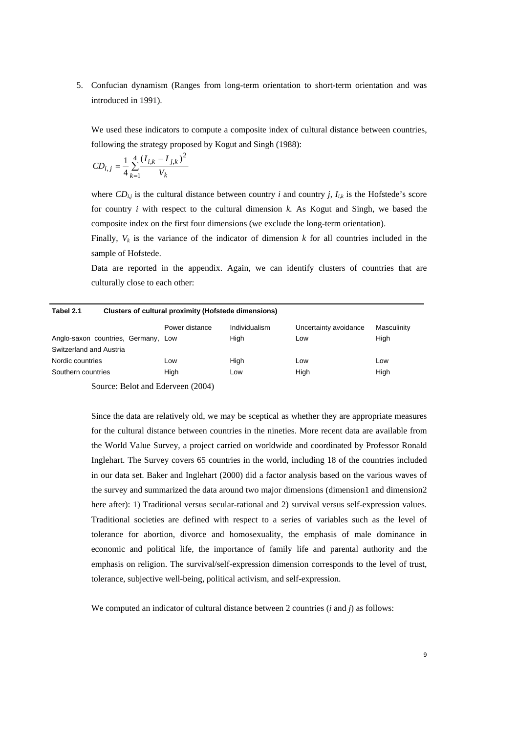5. Confucian dynamism (Ranges from long-term orientation to short-term orientation and was introduced in 1991).

We used these indicators to compute a composite index of cultural distance between countries. following the strategy proposed by Kogut and Singh (1988):

$$
CD_{i,j} = \frac{1}{4} \sum_{k=1}^{4} \frac{(I_{i,k} - I_{j,k})^2}{V_k}
$$

where  $CD_{i,j}$  is the cultural distance between country *i* and country *j*,  $I_{i,k}$  is the Hofstede's score for country *i* with respect to the cultural dimension *k.* As Kogut and Singh, we based the composite index on the first four dimensions (we exclude the long-term orientation).

Finally,  $V_k$  is the variance of the indicator of dimension  $k$  for all countries included in the sample of Hofstede.

Data are reported in the appendix. Again, we can identify clusters of countries that are culturally close to each other:

| Tabel 2.1               |                                     | Clusters of cultural proximity (Hofstede dimensions) |               |                       |             |
|-------------------------|-------------------------------------|------------------------------------------------------|---------------|-----------------------|-------------|
|                         |                                     | Power distance                                       | Individualism | Uncertainty avoidance | Masculinity |
|                         | Anglo-saxon countries, Germany, Low |                                                      | High          | Low                   | High        |
| Switzerland and Austria |                                     |                                                      |               |                       |             |
| Nordic countries        |                                     | Low                                                  | High          | Low                   | Low         |
| Southern countries      |                                     | High                                                 | Low           | High                  | High        |

Source: Belot and Ederveen (2004)

Since the data are relatively old, we may be sceptical as whether they are appropriate measures for the cultural distance between countries in the nineties. More recent data are available from the World Value Survey, a project carried on worldwide and coordinated by Professor Ronald Inglehart. The Survey covers 65 countries in the world, including 18 of the countries included in our data set. Baker and Inglehart (2000) did a factor analysis based on the various waves of the survey and summarized the data around two major dimensions (dimension1 and dimension2 here after): 1) Traditional versus secular-rational and 2) survival versus self-expression values. Traditional societies are defined with respect to a series of variables such as the level of tolerance for abortion, divorce and homosexuality, the emphasis of male dominance in economic and political life, the importance of family life and parental authority and the emphasis on religion. The survival/self-expression dimension corresponds to the level of trust, tolerance, subjective well-being, political activism, and self-expression.

We computed an indicator of cultural distance between 2 countries (*i* and *j*) as follows: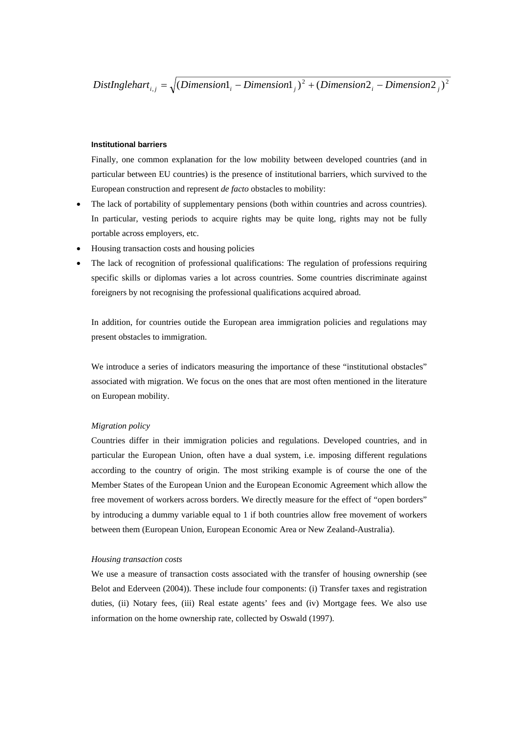$DistInglehart_{i,j} = \sqrt{(Dimension_{i} - Dimension_{j})^{2} + (Dimension_{i} - Dimension_{j})^{2}}$ 

### **Institutional barriers**

Finally, one common explanation for the low mobility between developed countries (and in particular between EU countries) is the presence of institutional barriers, which survived to the European construction and represent *de facto* obstacles to mobility:

- The lack of portability of supplementary pensions (both within countries and across countries). In particular, vesting periods to acquire rights may be quite long, rights may not be fully portable across employers, etc.
- Housing transaction costs and housing policies
- The lack of recognition of professional qualifications: The regulation of professions requiring specific skills or diplomas varies a lot across countries. Some countries discriminate against foreigners by not recognising the professional qualifications acquired abroad.

In addition, for countries outide the European area immigration policies and regulations may present obstacles to immigration.

We introduce a series of indicators measuring the importance of these "institutional obstacles" associated with migration. We focus on the ones that are most often mentioned in the literature on European mobility.

### *Migration policy*

Countries differ in their immigration policies and regulations. Developed countries, and in particular the European Union, often have a dual system, i.e. imposing different regulations according to the country of origin. The most striking example is of course the one of the Member States of the European Union and the European Economic Agreement which allow the free movement of workers across borders. We directly measure for the effect of "open borders" by introducing a dummy variable equal to 1 if both countries allow free movement of workers between them (European Union, European Economic Area or New Zealand-Australia).

#### *Housing transaction costs*

We use a measure of transaction costs associated with the transfer of housing ownership (see Belot and Ederveen (2004)). These include four components: (i) Transfer taxes and registration duties, (ii) Notary fees, (iii) Real estate agents' fees and (iv) Mortgage fees. We also use information on the home ownership rate, collected by Oswald (1997).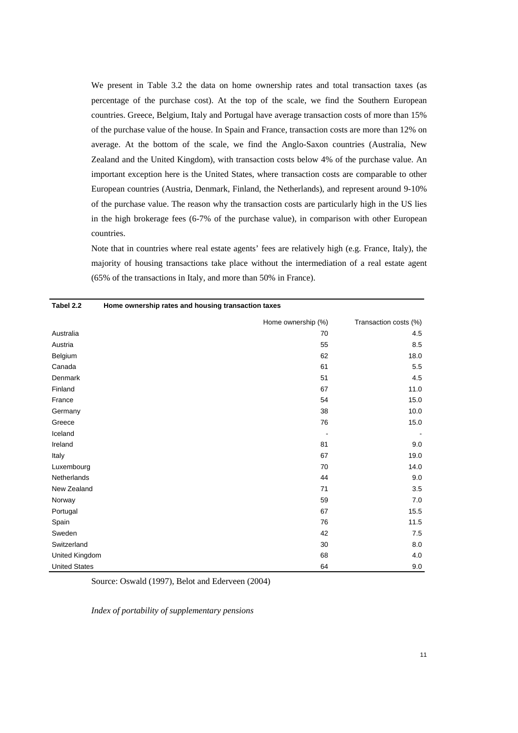We present in Table 3.2 the data on home ownership rates and total transaction taxes (as percentage of the purchase cost). At the top of the scale, we find the Southern European countries. Greece, Belgium, Italy and Portugal have average transaction costs of more than 15% of the purchase value of the house. In Spain and France, transaction costs are more than 12% on average. At the bottom of the scale, we find the Anglo-Saxon countries (Australia, New Zealand and the United Kingdom), with transaction costs below 4% of the purchase value. An important exception here is the United States, where transaction costs are comparable to other European countries (Austria, Denmark, Finland, the Netherlands), and represent around 9-10% of the purchase value. The reason why the transaction costs are particularly high in the US lies in the high brokerage fees (6-7% of the purchase value), in comparison with other European countries.

Note that in countries where real estate agents' fees are relatively high (e.g. France, Italy), the majority of housing transactions take place without the intermediation of a real estate agent (65% of the transactions in Italy, and more than 50% in France).

| Tabel 2.2            | Home ownership rates and housing transaction taxes |                       |  |
|----------------------|----------------------------------------------------|-----------------------|--|
|                      | Home ownership (%)                                 | Transaction costs (%) |  |
| Australia            | 70                                                 | 4.5                   |  |
| Austria              | 55                                                 | 8.5                   |  |
| Belgium              | 62                                                 | 18.0                  |  |
| Canada               | 61                                                 | 5.5                   |  |
| Denmark              | 51                                                 | 4.5                   |  |
| Finland              | 67                                                 | 11.0                  |  |
| France               | 54                                                 | 15.0                  |  |
| Germany              | 38                                                 | 10.0                  |  |
| Greece               | 76                                                 | 15.0                  |  |
| Iceland              |                                                    |                       |  |
| Ireland              | 81                                                 | 9.0                   |  |
| Italy                | 67                                                 | 19.0                  |  |
| Luxembourg           | 70                                                 | 14.0                  |  |
| Netherlands          | 44                                                 | 9.0                   |  |
| New Zealand          | 71                                                 | 3.5                   |  |
| Norway               | 59                                                 | 7.0                   |  |
| Portugal             | 67                                                 | 15.5                  |  |
| Spain                | 76                                                 | 11.5                  |  |
| Sweden               | 42                                                 | 7.5                   |  |
| Switzerland          | 30                                                 | 8.0                   |  |
| United Kingdom       | 68                                                 | 4.0                   |  |
| <b>United States</b> | 64                                                 | 9.0                   |  |

Source: Oswald (1997), Belot and Ederveen (2004)

*Index of portability of supplementary pensions*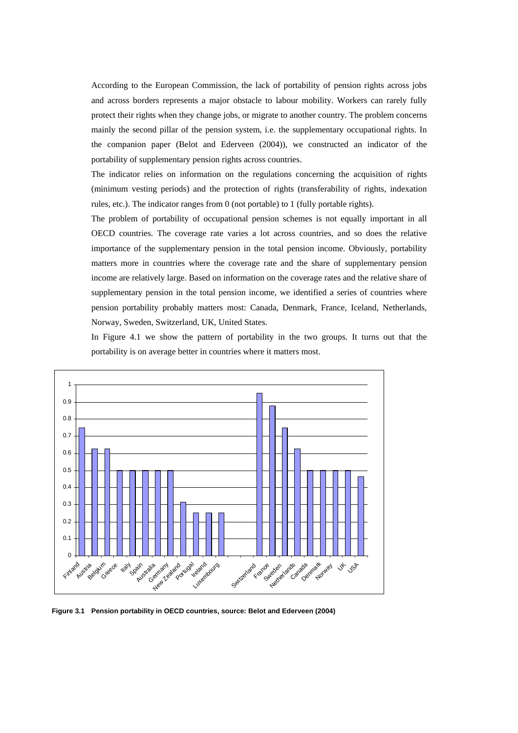According to the European Commission, the lack of portability of pension rights across jobs and across borders represents a major obstacle to labour mobility. Workers can rarely fully protect their rights when they change jobs, or migrate to another country. The problem concerns mainly the second pillar of the pension system, i.e. the supplementary occupational rights. In the companion paper (Belot and Ederveen (2004)), we constructed an indicator of the portability of supplementary pension rights across countries.

The indicator relies on information on the regulations concerning the acquisition of rights (minimum vesting periods) and the protection of rights (transferability of rights, indexation rules, etc.). The indicator ranges from 0 (not portable) to 1 (fully portable rights).

The problem of portability of occupational pension schemes is not equally important in all OECD countries. The coverage rate varies a lot across countries, and so does the relative importance of the supplementary pension in the total pension income. Obviously, portability matters more in countries where the coverage rate and the share of supplementary pension income are relatively large. Based on information on the coverage rates and the relative share of supplementary pension in the total pension income, we identified a series of countries where pension portability probably matters most: Canada, Denmark, France, Iceland, Netherlands, Norway, Sweden, Switzerland, UK, United States.

In Figure 4.1 we show the pattern of portability in the two groups. It turns out that the portability is on average better in countries where it matters most.



**Figure 3.1 Pension portability in OECD countries, source: Belot and Ederveen (2004)**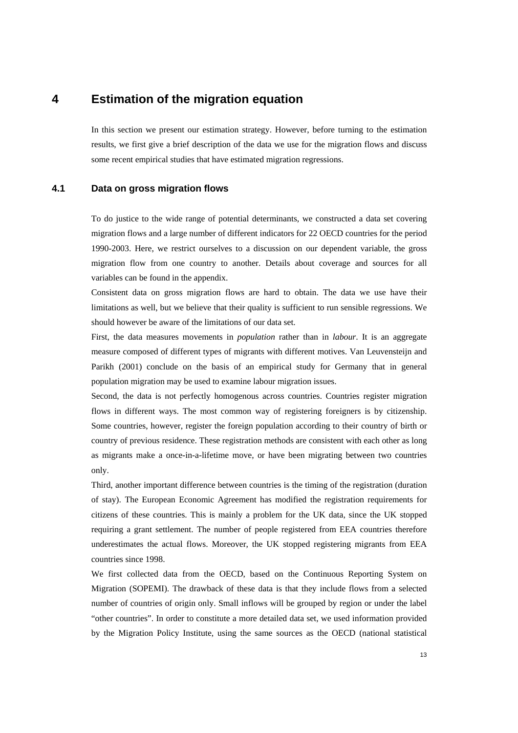# **4 Estimation of the migration equation**

In this section we present our estimation strategy. However, before turning to the estimation results, we first give a brief description of the data we use for the migration flows and discuss some recent empirical studies that have estimated migration regressions.

## **4.1 Data on gross migration flows**

To do justice to the wide range of potential determinants, we constructed a data set covering migration flows and a large number of different indicators for 22 OECD countries for the period 1990-2003. Here, we restrict ourselves to a discussion on our dependent variable, the gross migration flow from one country to another. Details about coverage and sources for all variables can be found in the appendix.

Consistent data on gross migration flows are hard to obtain. The data we use have their limitations as well, but we believe that their quality is sufficient to run sensible regressions. We should however be aware of the limitations of our data set.

First, the data measures movements in *population* rather than in *labour*. It is an aggregate measure composed of different types of migrants with different motives. Van Leuvensteijn and Parikh (2001) conclude on the basis of an empirical study for Germany that in general population migration may be used to examine labour migration issues.

Second, the data is not perfectly homogenous across countries. Countries register migration flows in different ways. The most common way of registering foreigners is by citizenship. Some countries, however, register the foreign population according to their country of birth or country of previous residence. These registration methods are consistent with each other as long as migrants make a once-in-a-lifetime move, or have been migrating between two countries only.

Third, another important difference between countries is the timing of the registration (duration of stay). The European Economic Agreement has modified the registration requirements for citizens of these countries. This is mainly a problem for the UK data, since the UK stopped requiring a grant settlement. The number of people registered from EEA countries therefore underestimates the actual flows. Moreover, the UK stopped registering migrants from EEA countries since 1998.

We first collected data from the OECD, based on the Continuous Reporting System on Migration (SOPEMI). The drawback of these data is that they include flows from a selected number of countries of origin only. Small inflows will be grouped by region or under the label "other countries". In order to constitute a more detailed data set, we used information provided by the Migration Policy Institute, using the same sources as the OECD (national statistical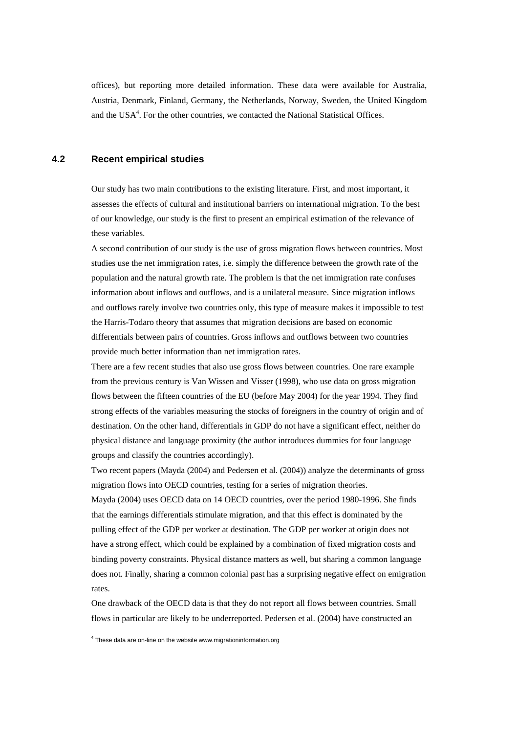offices), but reporting more detailed information. These data were available for Australia, Austria, Denmark, Finland, Germany, the Netherlands, Norway, Sweden, the United Kingdom and the USA<sup>4</sup>. For the other countries, we contacted the National Statistical Offices.

## **4.2 Recent empirical studies**

Our study has two main contributions to the existing literature. First, and most important, it assesses the effects of cultural and institutional barriers on international migration. To the best of our knowledge, our study is the first to present an empirical estimation of the relevance of these variables.

A second contribution of our study is the use of gross migration flows between countries. Most studies use the net immigration rates, i.e. simply the difference between the growth rate of the population and the natural growth rate. The problem is that the net immigration rate confuses information about inflows and outflows, and is a unilateral measure. Since migration inflows and outflows rarely involve two countries only, this type of measure makes it impossible to test the Harris-Todaro theory that assumes that migration decisions are based on economic differentials between pairs of countries. Gross inflows and outflows between two countries provide much better information than net immigration rates.

There are a few recent studies that also use gross flows between countries. One rare example from the previous century is Van Wissen and Visser (1998), who use data on gross migration flows between the fifteen countries of the EU (before May 2004) for the year 1994. They find strong effects of the variables measuring the stocks of foreigners in the country of origin and of destination. On the other hand, differentials in GDP do not have a significant effect, neither do physical distance and language proximity (the author introduces dummies for four language groups and classify the countries accordingly).

Two recent papers (Mayda (2004) and Pedersen et al. (2004)) analyze the determinants of gross migration flows into OECD countries, testing for a series of migration theories.

Mayda (2004) uses OECD data on 14 OECD countries, over the period 1980-1996. She finds that the earnings differentials stimulate migration, and that this effect is dominated by the pulling effect of the GDP per worker at destination. The GDP per worker at origin does not have a strong effect, which could be explained by a combination of fixed migration costs and binding poverty constraints. Physical distance matters as well, but sharing a common language does not. Finally, sharing a common colonial past has a surprising negative effect on emigration rates.

One drawback of the OECD data is that they do not report all flows between countries. Small flows in particular are likely to be underreported. Pedersen et al. (2004) have constructed an

<sup>4</sup> These data are on-line on the website www.migrationinformation.org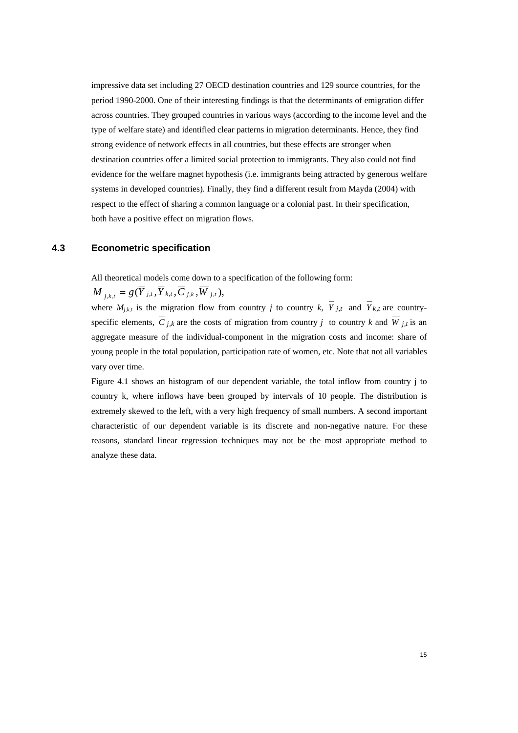impressive data set including 27 OECD destination countries and 129 source countries, for the period 1990-2000. One of their interesting findings is that the determinants of emigration differ across countries. They grouped countries in various ways (according to the income level and the type of welfare state) and identified clear patterns in migration determinants. Hence, they find strong evidence of network effects in all countries, but these effects are stronger when destination countries offer a limited social protection to immigrants. They also could not find evidence for the welfare magnet hypothesis (i.e. immigrants being attracted by generous welfare systems in developed countries). Finally, they find a different result from Mayda (2004) with respect to the effect of sharing a common language or a colonial past. In their specification, both have a positive effect on migration flows.

# **4.3 Econometric specification**

All theoretical models come down to a specification of the following form:

 $(M_{i,k,t} = g(\overline{Y}_{j,t}, \overline{Y}_{k,t}, \overline{C}_{j,k}, \overline{W}_{j,t}),$ 

where  $M_{j,k,t}$  is the migration flow from country *j* to country *k*,  $\overline{Y}_{j,t}$  and  $\overline{Y}_{k,t}$  are countryspecific elements,  $\overline{C}_{j,k}$  are the costs of migration from country *j* to country *k* and  $\overline{W}_{j,t}$  is an aggregate measure of the individual-component in the migration costs and income: share of young people in the total population, participation rate of women, etc. Note that not all variables vary over time.

Figure 4.1 shows an histogram of our dependent variable, the total inflow from country j to country k, where inflows have been grouped by intervals of 10 people. The distribution is extremely skewed to the left, with a very high frequency of small numbers. A second important characteristic of our dependent variable is its discrete and non-negative nature. For these reasons, standard linear regression techniques may not be the most appropriate method to analyze these data.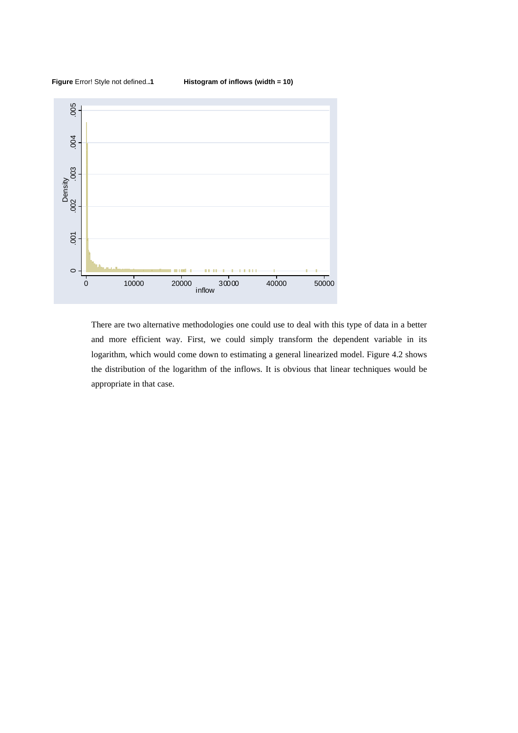



There are two alternative methodologies one could use to deal with this type of data in a better and more efficient way. First, we could simply transform the dependent variable in its logarithm, which would come down to estimating a general linearized model. Figure 4.2 shows the distribution of the logarithm of the inflows. It is obvious that linear techniques would be appropriate in that case.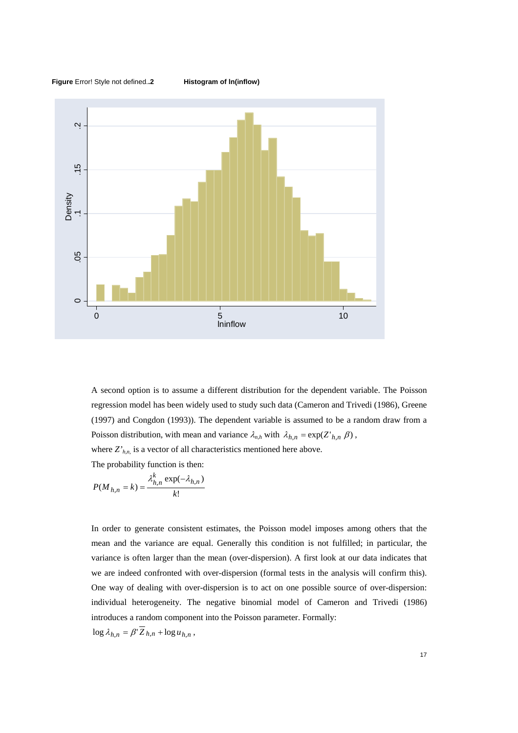

A second option is to assume a different distribution for the dependent variable. The Poisson regression model has been widely used to study such data (Cameron and Trivedi (1986), Greene (1997) and Congdon (1993)). The dependent variable is assumed to be a random draw from a Poisson distribution, with mean and variance  $\lambda_{n,h}$  with  $\lambda_{h,n} = \exp(Z'_{h,n} \beta)$ ,

where  $Z'_{h,n}$  is a vector of all characteristics mentioned here above.

The probability function is then:

$$
P(M_{h,n} = k) = \frac{\lambda_{h,n}^k \exp(-\lambda_{h,n})}{k!}
$$

In order to generate consistent estimates, the Poisson model imposes among others that the mean and the variance are equal. Generally this condition is not fulfilled; in particular, the variance is often larger than the mean (over-dispersion). A first look at our data indicates that we are indeed confronted with over-dispersion (formal tests in the analysis will confirm this). One way of dealing with over-dispersion is to act on one possible source of over-dispersion: individual heterogeneity. The negative binomial model of Cameron and Trivedi (1986) introduces a random component into the Poisson parameter. Formally:

 $\log \lambda_{h,n} = \beta \sum_{n} h_{n} + \log u_{h,n}$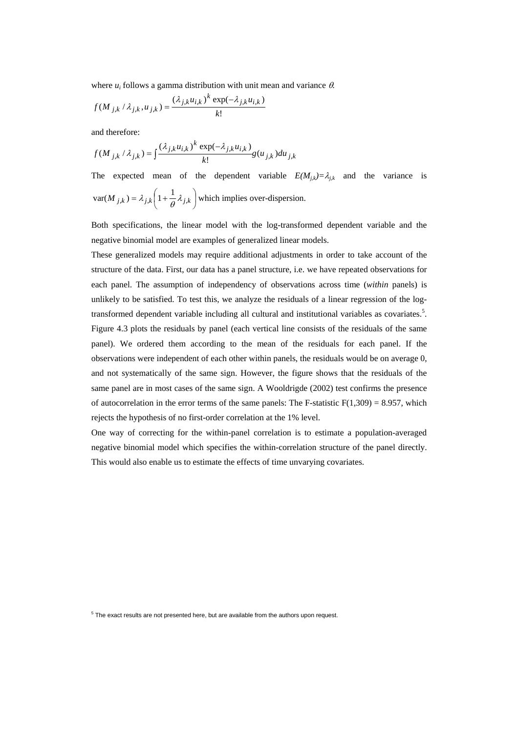where *ui* follows a gamma distribution with unit mean and variance θ*.*

$$
f(M_{j,k} / \lambda_{j,k}, u_{j,k}) = \frac{(\lambda_{j,k} u_{i,k})^k \exp(-\lambda_{j,k} u_{i,k})}{k!}
$$

and therefore:

$$
f(M_{j,k} / \lambda_{j,k}) = \int \frac{(\lambda_{j,k} u_{i,k})^k \exp(-\lambda_{j,k} u_{i,k})}{k!} g(u_{j,k}) du_{j,k}
$$

The expected mean of the dependent variable  $E(M_{jk}) = \lambda_{jk}$  and the variance is  $\overline{a}$ ⎠  $\left(1+\frac{1}{2}\lambda_{i,k}\right)$  $\text{var}(M_{j,k}) = \lambda_{j,k} \left(1 + \frac{1}{\theta} \lambda_{j,k}\right)$  which implies over-dispersion.

Both specifications, the linear model with the log-transformed dependent variable and the negative binomial model are examples of generalized linear models.

These generalized models may require additional adjustments in order to take account of the structure of the data. First, our data has a panel structure, i.e. we have repeated observations for each panel. The assumption of independency of observations across time (*within* panels) is unlikely to be satisfied. To test this, we analyze the residuals of a linear regression of the logtransformed dependent variable including all cultural and institutional variables as covariates.<sup>5</sup>. Figure 4.3 plots the residuals by panel (each vertical line consists of the residuals of the same panel). We ordered them according to the mean of the residuals for each panel. If the observations were independent of each other within panels, the residuals would be on average 0, and not systematically of the same sign. However, the figure shows that the residuals of the same panel are in most cases of the same sign. A Wooldrigde (2002) test confirms the presence of autocorrelation in the error terms of the same panels: The F-statistic  $F(1,309) = 8.957$ , which rejects the hypothesis of no first-order correlation at the 1% level.

One way of correcting for the within-panel correlation is to estimate a population-averaged negative binomial model which specifies the within-correlation structure of the panel directly. This would also enable us to estimate the effects of time unvarying covariates.

 $5$  The exact results are not presented here, but are available from the authors upon request.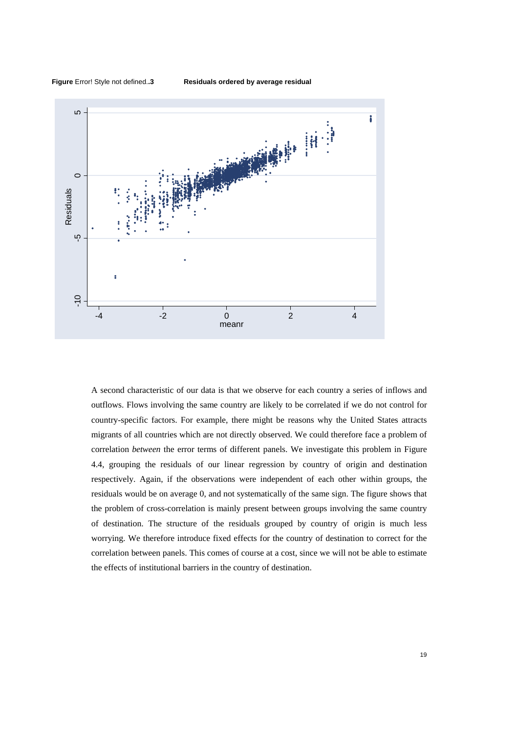**Figure** Error! Style not defined.**.3 Residuals ordered by average residual** 



A second characteristic of our data is that we observe for each country a series of inflows and outflows. Flows involving the same country are likely to be correlated if we do not control for country-specific factors. For example, there might be reasons why the United States attracts migrants of all countries which are not directly observed. We could therefore face a problem of correlation *between* the error terms of different panels. We investigate this problem in Figure 4.4, grouping the residuals of our linear regression by country of origin and destination respectively. Again, if the observations were independent of each other within groups, the residuals would be on average 0, and not systematically of the same sign. The figure shows that the problem of cross-correlation is mainly present between groups involving the same country of destination. The structure of the residuals grouped by country of origin is much less worrying. We therefore introduce fixed effects for the country of destination to correct for the correlation between panels. This comes of course at a cost, since we will not be able to estimate the effects of institutional barriers in the country of destination.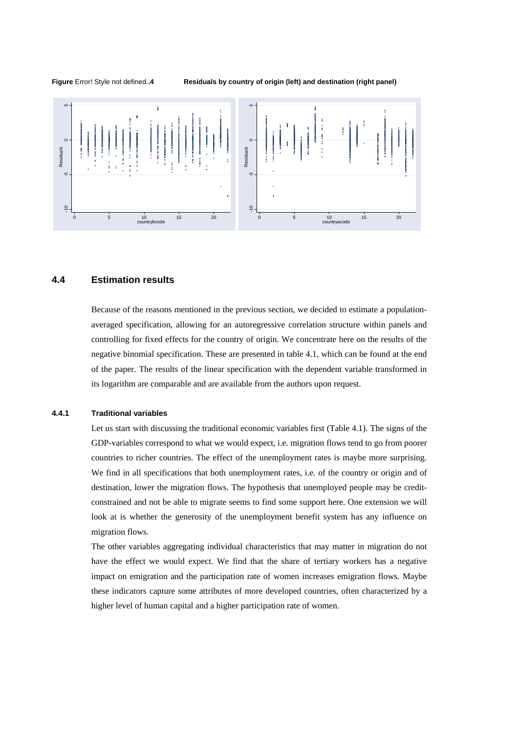**Figure** Error! Style not defined.**.4 Residuals by country of origin (left) and destination (right panel)** 



## **4.4 Estimation results**

Because of the reasons mentioned in the previous section, we decided to estimate a populationaveraged specification, allowing for an autoregressive correlation structure within panels and controlling for fixed effects for the country of origin. We concentrate here on the results of the negative binomial specification. These are presented in table 4.1, which can be found at the end of the paper. The results of the linear specification with the dependent variable transformed in its logarithm are comparable and are available from the authors upon request.

### **4.4.1 Traditional variables**

Let us start with discussing the traditional economic variables first (Table 4.1). The signs of the GDP-variables correspond to what we would expect, i.e. migration flows tend to go from poorer countries to richer countries. The effect of the unemployment rates is maybe more surprising. We find in all specifications that both unemployment rates, i.e. of the country or origin and of destination, lower the migration flows. The hypothesis that unemployed people may be creditconstrained and not be able to migrate seems to find some support here. One extension we will look at is whether the generosity of the unemployment benefit system has any influence on migration flows.

The other variables aggregating individual characteristics that may matter in migration do not have the effect we would expect. We find that the share of tertiary workers has a negative impact on emigration and the participation rate of women increases emigration flows. Maybe these indicators capture some attributes of more developed countries, often characterized by a higher level of human capital and a higher participation rate of women.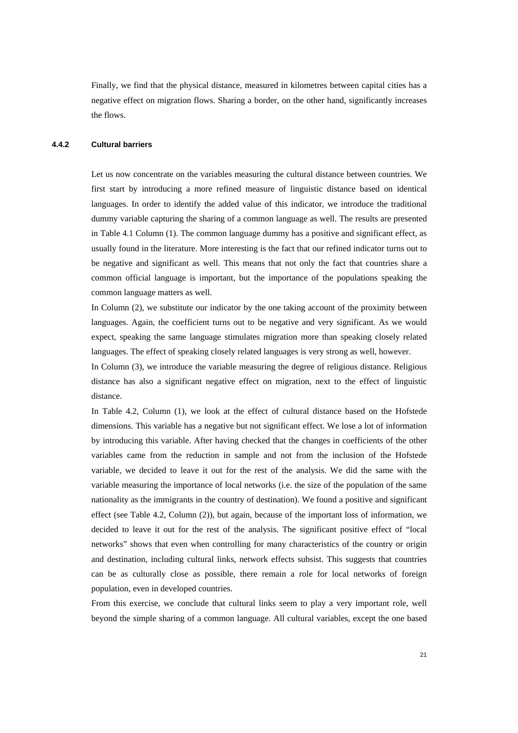Finally, we find that the physical distance, measured in kilometres between capital cities has a negative effect on migration flows. Sharing a border, on the other hand, significantly increases the flows.

#### **4.4.2 Cultural barriers**

Let us now concentrate on the variables measuring the cultural distance between countries. We first start by introducing a more refined measure of linguistic distance based on identical languages. In order to identify the added value of this indicator, we introduce the traditional dummy variable capturing the sharing of a common language as well. The results are presented in Table 4.1 Column (1). The common language dummy has a positive and significant effect, as usually found in the literature. More interesting is the fact that our refined indicator turns out to be negative and significant as well. This means that not only the fact that countries share a common official language is important, but the importance of the populations speaking the common language matters as well.

In Column (2), we substitute our indicator by the one taking account of the proximity between languages. Again, the coefficient turns out to be negative and very significant. As we would expect, speaking the same language stimulates migration more than speaking closely related languages. The effect of speaking closely related languages is very strong as well, however.

In Column (3), we introduce the variable measuring the degree of religious distance. Religious distance has also a significant negative effect on migration, next to the effect of linguistic distance.

In Table 4.2, Column (1), we look at the effect of cultural distance based on the Hofstede dimensions. This variable has a negative but not significant effect. We lose a lot of information by introducing this variable. After having checked that the changes in coefficients of the other variables came from the reduction in sample and not from the inclusion of the Hofstede variable, we decided to leave it out for the rest of the analysis. We did the same with the variable measuring the importance of local networks (i.e. the size of the population of the same nationality as the immigrants in the country of destination). We found a positive and significant effect (see Table 4.2, Column (2)), but again, because of the important loss of information, we decided to leave it out for the rest of the analysis. The significant positive effect of "local networks" shows that even when controlling for many characteristics of the country or origin and destination, including cultural links, network effects subsist. This suggests that countries can be as culturally close as possible, there remain a role for local networks of foreign population, even in developed countries.

From this exercise, we conclude that cultural links seem to play a very important role, well beyond the simple sharing of a common language. All cultural variables, except the one based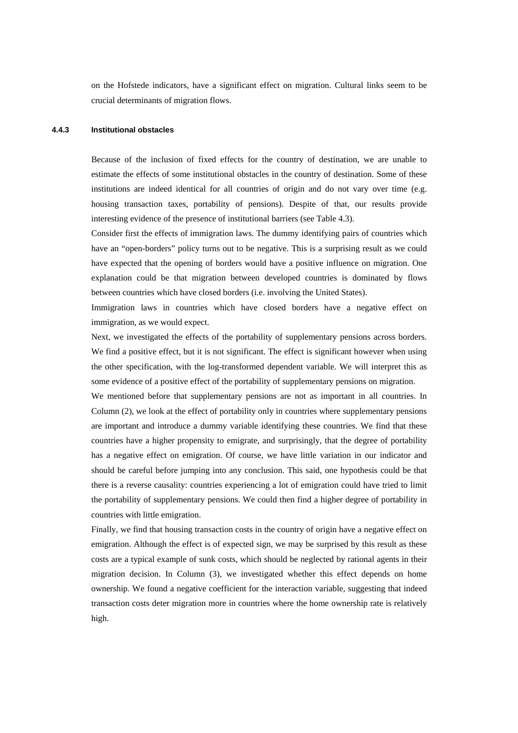on the Hofstede indicators, have a significant effect on migration. Cultural links seem to be crucial determinants of migration flows.

### **4.4.3 Institutional obstacles**

Because of the inclusion of fixed effects for the country of destination, we are unable to estimate the effects of some institutional obstacles in the country of destination. Some of these institutions are indeed identical for all countries of origin and do not vary over time (e.g. housing transaction taxes, portability of pensions). Despite of that, our results provide interesting evidence of the presence of institutional barriers (see Table 4.3).

Consider first the effects of immigration laws. The dummy identifying pairs of countries which have an "open-borders" policy turns out to be negative. This is a surprising result as we could have expected that the opening of borders would have a positive influence on migration. One explanation could be that migration between developed countries is dominated by flows between countries which have closed borders (i.e. involving the United States).

Immigration laws in countries which have closed borders have a negative effect on immigration, as we would expect.

Next, we investigated the effects of the portability of supplementary pensions across borders. We find a positive effect, but it is not significant. The effect is significant however when using the other specification, with the log-transformed dependent variable. We will interpret this as some evidence of a positive effect of the portability of supplementary pensions on migration.

We mentioned before that supplementary pensions are not as important in all countries. In Column (2), we look at the effect of portability only in countries where supplementary pensions are important and introduce a dummy variable identifying these countries. We find that these countries have a higher propensity to emigrate, and surprisingly, that the degree of portability has a negative effect on emigration. Of course, we have little variation in our indicator and should be careful before jumping into any conclusion. This said, one hypothesis could be that there is a reverse causality: countries experiencing a lot of emigration could have tried to limit the portability of supplementary pensions. We could then find a higher degree of portability in countries with little emigration.

Finally, we find that housing transaction costs in the country of origin have a negative effect on emigration. Although the effect is of expected sign, we may be surprised by this result as these costs are a typical example of sunk costs, which should be neglected by rational agents in their migration decision. In Column (3), we investigated whether this effect depends on home ownership. We found a negative coefficient for the interaction variable, suggesting that indeed transaction costs deter migration more in countries where the home ownership rate is relatively high.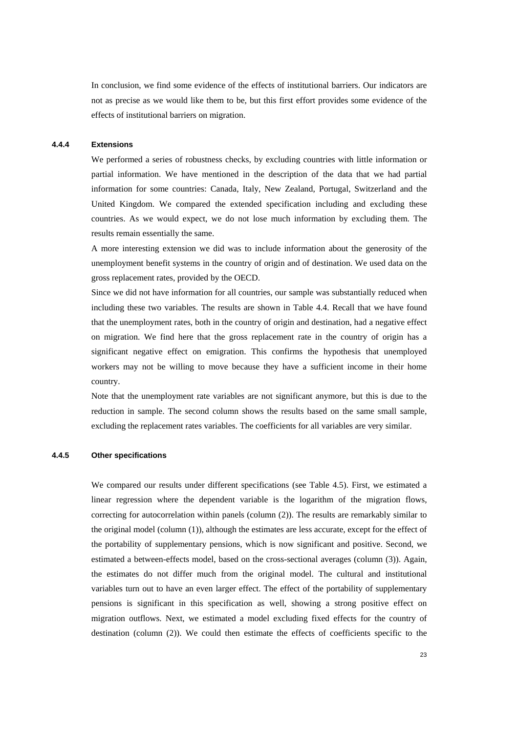In conclusion, we find some evidence of the effects of institutional barriers. Our indicators are not as precise as we would like them to be, but this first effort provides some evidence of the effects of institutional barriers on migration.

### **4.4.4 Extensions**

We performed a series of robustness checks, by excluding countries with little information or partial information. We have mentioned in the description of the data that we had partial information for some countries: Canada, Italy, New Zealand, Portugal, Switzerland and the United Kingdom. We compared the extended specification including and excluding these countries. As we would expect, we do not lose much information by excluding them. The results remain essentially the same.

A more interesting extension we did was to include information about the generosity of the unemployment benefit systems in the country of origin and of destination. We used data on the gross replacement rates, provided by the OECD.

Since we did not have information for all countries, our sample was substantially reduced when including these two variables. The results are shown in Table 4.4. Recall that we have found that the unemployment rates, both in the country of origin and destination, had a negative effect on migration. We find here that the gross replacement rate in the country of origin has a significant negative effect on emigration. This confirms the hypothesis that unemployed workers may not be willing to move because they have a sufficient income in their home country.

Note that the unemployment rate variables are not significant anymore, but this is due to the reduction in sample. The second column shows the results based on the same small sample, excluding the replacement rates variables. The coefficients for all variables are very similar.

### **4.4.5 Other specifications**

We compared our results under different specifications (see Table 4.5). First, we estimated a linear regression where the dependent variable is the logarithm of the migration flows, correcting for autocorrelation within panels (column (2)). The results are remarkably similar to the original model (column (1)), although the estimates are less accurate, except for the effect of the portability of supplementary pensions, which is now significant and positive. Second, we estimated a between-effects model, based on the cross-sectional averages (column (3)). Again, the estimates do not differ much from the original model. The cultural and institutional variables turn out to have an even larger effect. The effect of the portability of supplementary pensions is significant in this specification as well, showing a strong positive effect on migration outflows. Next, we estimated a model excluding fixed effects for the country of destination (column (2)). We could then estimate the effects of coefficients specific to the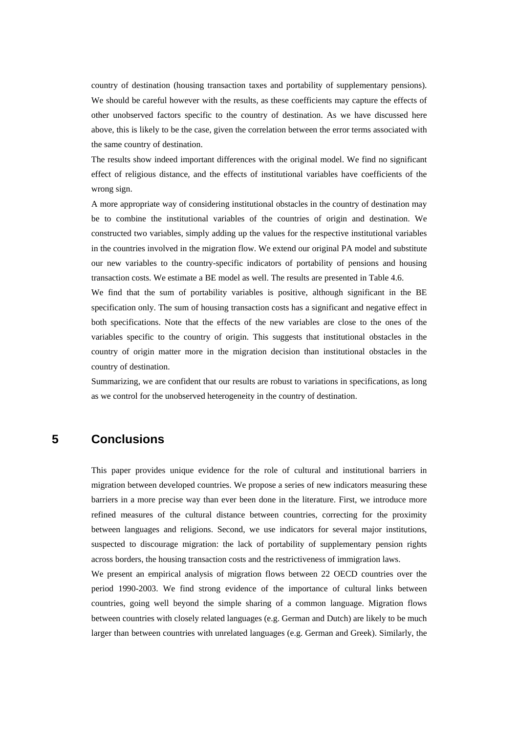country of destination (housing transaction taxes and portability of supplementary pensions). We should be careful however with the results, as these coefficients may capture the effects of other unobserved factors specific to the country of destination. As we have discussed here above, this is likely to be the case, given the correlation between the error terms associated with the same country of destination.

The results show indeed important differences with the original model. We find no significant effect of religious distance, and the effects of institutional variables have coefficients of the wrong sign.

A more appropriate way of considering institutional obstacles in the country of destination may be to combine the institutional variables of the countries of origin and destination. We constructed two variables, simply adding up the values for the respective institutional variables in the countries involved in the migration flow. We extend our original PA model and substitute our new variables to the country-specific indicators of portability of pensions and housing transaction costs. We estimate a BE model as well. The results are presented in Table 4.6.

We find that the sum of portability variables is positive, although significant in the BE specification only. The sum of housing transaction costs has a significant and negative effect in both specifications. Note that the effects of the new variables are close to the ones of the variables specific to the country of origin. This suggests that institutional obstacles in the country of origin matter more in the migration decision than institutional obstacles in the country of destination.

Summarizing, we are confident that our results are robust to variations in specifications, as long as we control for the unobserved heterogeneity in the country of destination.

# **5 Conclusions**

This paper provides unique evidence for the role of cultural and institutional barriers in migration between developed countries. We propose a series of new indicators measuring these barriers in a more precise way than ever been done in the literature. First, we introduce more refined measures of the cultural distance between countries, correcting for the proximity between languages and religions. Second, we use indicators for several major institutions, suspected to discourage migration: the lack of portability of supplementary pension rights across borders, the housing transaction costs and the restrictiveness of immigration laws.

We present an empirical analysis of migration flows between 22 OECD countries over the period 1990-2003. We find strong evidence of the importance of cultural links between countries, going well beyond the simple sharing of a common language. Migration flows between countries with closely related languages (e.g. German and Dutch) are likely to be much larger than between countries with unrelated languages (e.g. German and Greek). Similarly, the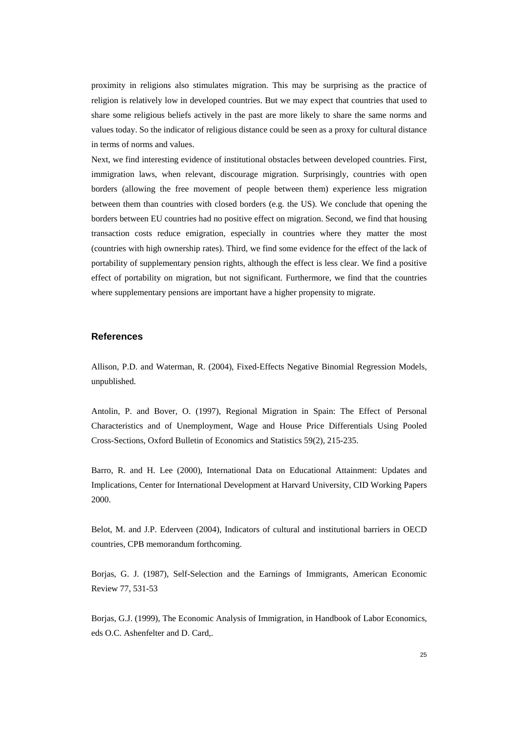proximity in religions also stimulates migration. This may be surprising as the practice of religion is relatively low in developed countries. But we may expect that countries that used to share some religious beliefs actively in the past are more likely to share the same norms and values today. So the indicator of religious distance could be seen as a proxy for cultural distance in terms of norms and values.

Next, we find interesting evidence of institutional obstacles between developed countries. First, immigration laws, when relevant, discourage migration. Surprisingly, countries with open borders (allowing the free movement of people between them) experience less migration between them than countries with closed borders (e.g. the US). We conclude that opening the borders between EU countries had no positive effect on migration. Second, we find that housing transaction costs reduce emigration, especially in countries where they matter the most (countries with high ownership rates). Third, we find some evidence for the effect of the lack of portability of supplementary pension rights, although the effect is less clear. We find a positive effect of portability on migration, but not significant. Furthermore, we find that the countries where supplementary pensions are important have a higher propensity to migrate.

### **References**

Allison, P.D. and Waterman, R. (2004), Fixed-Effects Negative Binomial Regression Models, unpublished.

Antolin, P. and Bover, O. (1997), Regional Migration in Spain: The Effect of Personal Characteristics and of Unemployment, Wage and House Price Differentials Using Pooled Cross-Sections, Oxford Bulletin of Economics and Statistics 59(2), 215-235.

Barro, R. and H. Lee (2000), International Data on Educational Attainment: Updates and Implications, Center for International Development at Harvard University, CID Working Papers 2000.

Belot, M. and J.P. Ederveen (2004), Indicators of cultural and institutional barriers in OECD countries, CPB memorandum forthcoming.

Borjas, G. J. (1987), Self-Selection and the Earnings of Immigrants, American Economic Review 77, 531-53

Borjas, G.J. (1999), The Economic Analysis of Immigration, in Handbook of Labor Economics, eds O.C. Ashenfelter and D. Card,.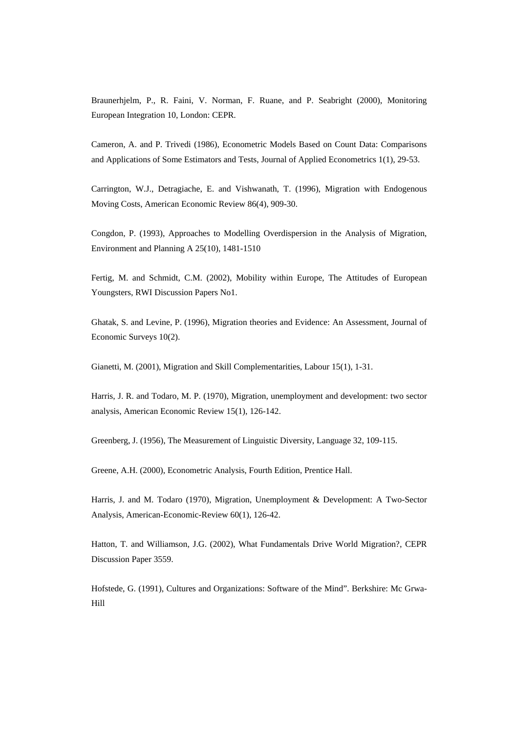Braunerhjelm, P., R. Faini, V. Norman, F. Ruane, and P. Seabright (2000), Monitoring European Integration 10, London: CEPR.

Cameron, A. and P. Trivedi (1986), Econometric Models Based on Count Data: Comparisons and Applications of Some Estimators and Tests, Journal of Applied Econometrics 1(1), 29-53.

Carrington, W.J., Detragiache, E. and Vishwanath, T. (1996), Migration with Endogenous Moving Costs, American Economic Review 86(4), 909-30.

Congdon, P. (1993), Approaches to Modelling Overdispersion in the Analysis of Migration, Environment and Planning A 25(10), 1481-1510

Fertig, M. and Schmidt, C.M. (2002), Mobility within Europe, The Attitudes of European Youngsters, RWI Discussion Papers No1.

Ghatak, S. and Levine, P. (1996), Migration theories and Evidence: An Assessment, Journal of Economic Surveys 10(2).

Gianetti, M. (2001), Migration and Skill Complementarities, Labour 15(1), 1-31.

Harris, J. R. and Todaro, M. P. (1970), Migration, unemployment and development: two sector analysis, American Economic Review 15(1), 126-142.

Greenberg, J. (1956), The Measurement of Linguistic Diversity, Language 32, 109-115.

Greene, A.H. (2000), Econometric Analysis, Fourth Edition, Prentice Hall.

Harris, J. and M. Todaro (1970), Migration, Unemployment & Development: A Two-Sector Analysis, American-Economic-Review 60(1), 126-42.

Hatton, T. and Williamson, J.G. (2002), What Fundamentals Drive World Migration?, CEPR Discussion Paper 3559.

Hofstede, G. (1991), Cultures and Organizations: Software of the Mind". Berkshire: Mc Grwa-Hill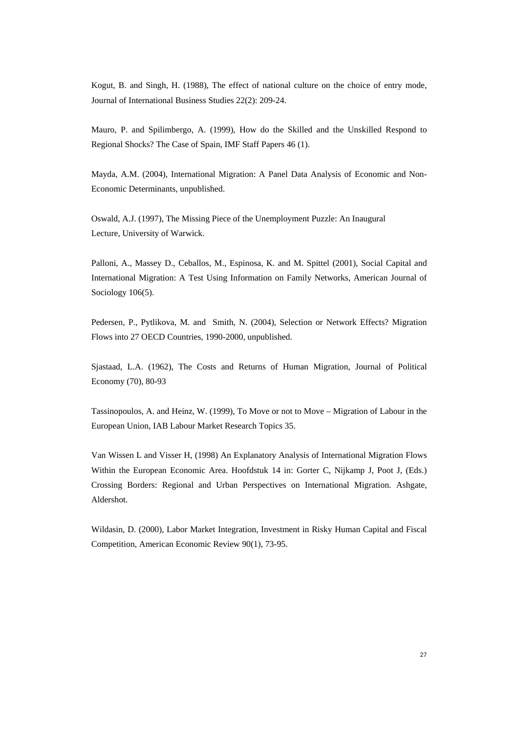Kogut, B. and Singh, H. (1988), The effect of national culture on the choice of entry mode, Journal of International Business Studies 22(2): 209-24.

Mauro, P. and Spilimbergo, A. (1999), How do the Skilled and the Unskilled Respond to Regional Shocks? The Case of Spain, IMF Staff Papers 46 (1).

Mayda, A.M. (2004), International Migration: A Panel Data Analysis of Economic and Non-Economic Determinants, unpublished.

Oswald, A.J. (1997), The Missing Piece of the Unemployment Puzzle: An Inaugural Lecture, University of Warwick.

Palloni, A., Massey D., Ceballos, M., Espinosa, K. and M. Spittel (2001), Social Capital and International Migration: A Test Using Information on Family Networks, American Journal of Sociology 106(5).

Pedersen, P., Pytlikova, M. and Smith, N. (2004), Selection or Network Effects? Migration Flows into 27 OECD Countries, 1990-2000, unpublished.

Sjastaad, L.A. (1962), The Costs and Returns of Human Migration, Journal of Political Economy (70), 80-93

Tassinopoulos, A. and Heinz, W. (1999), To Move or not to Move – Migration of Labour in the European Union, IAB Labour Market Research Topics 35.

Van Wissen L and Visser H, (1998) An Explanatory Analysis of International Migration Flows Within the European Economic Area. Hoofdstuk 14 in: Gorter C, Nijkamp J, Poot J, (Eds.) Crossing Borders: Regional and Urban Perspectives on International Migration. Ashgate, Aldershot.

Wildasin, D. (2000), Labor Market Integration, Investment in Risky Human Capital and Fiscal Competition, American Economic Review 90(1), 73-95.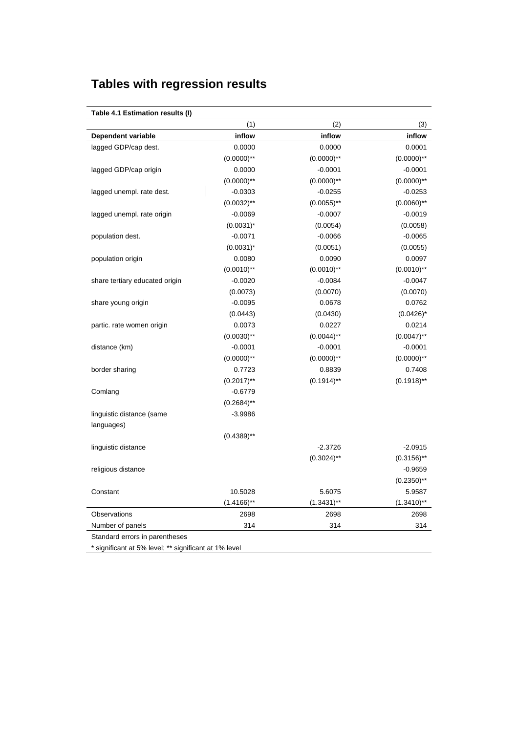# **Tables with regression results**

| Table 4.1 Estimation results (I) |               |               |               |
|----------------------------------|---------------|---------------|---------------|
|                                  | (1)           | (2)           | (3)           |
| <b>Dependent variable</b>        | inflow        | inflow        | inflow        |
| lagged GDP/cap dest.             | 0.0000        | 0.0000        | 0.0001        |
|                                  | $(0.0000)$ ** | $(0.0000)$ ** | $(0.0000)$ ** |
| lagged GDP/cap origin            | 0.0000        | $-0.0001$     | $-0.0001$     |
|                                  | $(0.0000)$ ** | $(0.0000)$ ** | $(0.0000)$ ** |
| lagged unempl. rate dest.        | $-0.0303$     | $-0.0255$     | $-0.0253$     |
|                                  | $(0.0032)$ ** | $(0.0055)$ ** | $(0.0060)$ ** |
| lagged unempl. rate origin       | $-0.0069$     | $-0.0007$     | $-0.0019$     |
|                                  | $(0.0031)^*$  | (0.0054)      | (0.0058)      |
| population dest.                 | $-0.0071$     | $-0.0066$     | $-0.0065$     |
|                                  | $(0.0031)^*$  | (0.0051)      | (0.0055)      |
| population origin                | 0.0080        | 0.0090        | 0.0097        |
|                                  | $(0.0010)$ ** | $(0.0010)$ ** | $(0.0010)$ ** |
| share tertiary educated origin   | $-0.0020$     | $-0.0084$     | $-0.0047$     |
|                                  | (0.0073)      | (0.0070)      | (0.0070)      |
| share young origin               | $-0.0095$     | 0.0678        | 0.0762        |
|                                  | (0.0443)      | (0.0430)      | $(0.0426)^*$  |
| partic. rate women origin        | 0.0073        | 0.0227        | 0.0214        |
|                                  | $(0.0030)$ ** | $(0.0044)$ ** | $(0.0047)$ ** |
| distance (km)                    | $-0.0001$     | $-0.0001$     | $-0.0001$     |
|                                  | $(0.0000)$ ** | $(0.0000)$ ** | $(0.0000)$ ** |
| border sharing                   | 0.7723        | 0.8839        | 0.7408        |
|                                  | $(0.2017)$ ** | $(0.1914)$ ** | $(0.1918)$ ** |
| Comlang                          | $-0.6779$     |               |               |
|                                  | $(0.2684)$ ** |               |               |
| linguistic distance (same        | $-3.9986$     |               |               |
| languages)                       |               |               |               |
|                                  | $(0.4389)$ ** |               |               |
| linguistic distance              |               | $-2.3726$     | $-2.0915$     |
|                                  |               | $(0.3024)$ ** | $(0.3156)$ ** |
| religious distance               |               |               | $-0.9659$     |
|                                  |               |               | $(0.2350)$ ** |
| Constant                         | 10.5028       | 5.6075        | 5.9587        |
|                                  | $(1.4166)$ ** | $(1.3431)$ ** | $(1.3410)$ ** |
| Observations                     | 2698          | 2698          | 2698          |
| Number of panels                 | 314           | 314           | 314           |
| Standard errors in parentheses   |               |               |               |

\* significant at 5% level; \*\* significant at 1% level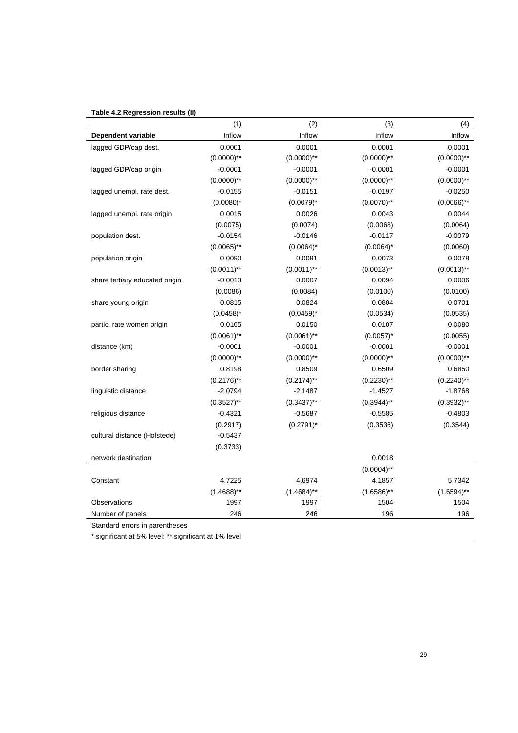# **Table 4.2 Regression results (II)**

|                                                       | (1)           | (2)           | (3)           | (4)           |
|-------------------------------------------------------|---------------|---------------|---------------|---------------|
| Dependent variable                                    | Inflow        | Inflow        | Inflow        | Inflow        |
| lagged GDP/cap dest.                                  | 0.0001        | 0.0001        | 0.0001        | 0.0001        |
|                                                       | $(0.0000)$ ** | $(0.0000)$ ** | $(0.0000)$ ** | $(0.0000)$ ** |
| lagged GDP/cap origin                                 | $-0.0001$     | $-0.0001$     | $-0.0001$     | $-0.0001$     |
|                                                       | $(0.0000)$ ** | $(0.0000)$ ** | $(0.0000)$ ** | $(0.0000)$ ** |
| lagged unempl. rate dest.                             | $-0.0155$     | $-0.0151$     | $-0.0197$     | $-0.0250$     |
|                                                       | $(0.0080)^*$  | $(0.0079)^*$  | $(0.0070)$ ** | $(0.0066)$ ** |
| lagged unempl. rate origin                            | 0.0015        | 0.0026        | 0.0043        | 0.0044        |
|                                                       | (0.0075)      | (0.0074)      | (0.0068)      | (0.0064)      |
| population dest.                                      | $-0.0154$     | $-0.0146$     | $-0.0117$     | $-0.0079$     |
|                                                       | $(0.0065)$ ** | $(0.0064)^*$  | $(0.0064)^*$  | (0.0060)      |
| population origin                                     | 0.0090        | 0.0091        | 0.0073        | 0.0078        |
|                                                       | $(0.0011)$ ** | $(0.0011)$ ** | $(0.0013)$ ** | $(0.0013)$ ** |
| share tertiary educated origin                        | $-0.0013$     | 0.0007        | 0.0094        | 0.0006        |
|                                                       | (0.0086)      | (0.0084)      | (0.0100)      | (0.0100)      |
| share young origin                                    | 0.0815        | 0.0824        | 0.0804        | 0.0701        |
|                                                       | $(0.0458)^*$  | $(0.0459)^*$  | (0.0534)      | (0.0535)      |
| partic. rate women origin                             | 0.0165        | 0.0150        | 0.0107        | 0.0080        |
|                                                       | $(0.0061)$ ** | $(0.0061)$ ** | $(0.0057)^*$  | (0.0055)      |
| distance (km)                                         | $-0.0001$     | $-0.0001$     | $-0.0001$     | $-0.0001$     |
|                                                       | $(0.0000)$ ** | $(0.0000)$ ** | $(0.0000)$ ** | $(0.0000)$ ** |
| border sharing                                        | 0.8198        | 0.8509        | 0.6509        | 0.6850        |
|                                                       | $(0.2176)$ ** | $(0.2174)$ ** | $(0.2230)$ ** | $(0.2240)$ ** |
| linguistic distance                                   | $-2.0794$     | $-2.1487$     | $-1.4527$     | $-1.8768$     |
|                                                       | $(0.3527)$ ** | $(0.3437)$ ** | $(0.3944)$ ** | $(0.3932)$ ** |
| religious distance                                    | $-0.4321$     | $-0.5687$     | $-0.5585$     | $-0.4803$     |
|                                                       | (0.2917)      | $(0.2791)^*$  | (0.3536)      | (0.3544)      |
| cultural distance (Hofstede)                          | $-0.5437$     |               |               |               |
|                                                       | (0.3733)      |               |               |               |
| network destination                                   |               |               | 0.0018        |               |
|                                                       |               |               | $(0.0004)$ ** |               |
| Constant                                              | 4.7225        | 4.6974        | 4.1857        | 5.7342        |
|                                                       | $(1.4688)$ ** | $(1.4684)$ ** | $(1.6586)$ ** | $(1.6594)$ ** |
| Observations                                          | 1997          | 1997          | 1504          | 1504          |
| Number of panels                                      | 246           | 246           | 196           | 196           |
| Standard errors in parentheses                        |               |               |               |               |
| * significant at 5% level; ** significant at 1% level |               |               |               |               |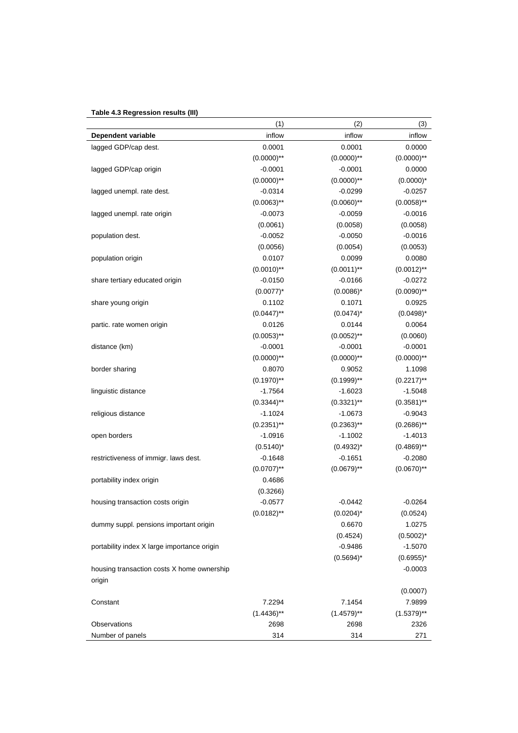# **Table 4.3 Regression results (III)**

|                                                      | (1)           | (2)             | (3)            |
|------------------------------------------------------|---------------|-----------------|----------------|
| Dependent variable                                   | inflow        | inflow          | inflow         |
| lagged GDP/cap dest.                                 | 0.0001        | 0.0001          | 0.0000         |
|                                                      | $(0.0000)$ ** | $(0.0000)$ **   | $(0.0000)$ **  |
| lagged GDP/cap origin                                | $-0.0001$     | $-0.0001$       | 0.0000         |
|                                                      | $(0.0000)$ ** | $(0.0000)$ **   | $(0.0000)^*$   |
| lagged unempl. rate dest.                            | $-0.0314$     | $-0.0299$       | $-0.0257$      |
|                                                      | $(0.0063)$ ** | $(0.0060)$ **   | $(0.0058)$ **  |
| lagged unempl. rate origin                           | $-0.0073$     | $-0.0059$       | $-0.0016$      |
|                                                      | (0.0061)      | (0.0058)        | (0.0058)       |
| population dest.                                     | $-0.0052$     | $-0.0050$       | $-0.0016$      |
|                                                      | (0.0056)      | (0.0054)        | (0.0053)       |
| population origin                                    | 0.0107        | 0.0099          | 0.0080         |
|                                                      | $(0.0010)$ ** | $(0.0011)$ **   | $(0.0012)$ **  |
| share tertiary educated origin                       | $-0.0150$     | $-0.0166$       | $-0.0272$      |
|                                                      | $(0.0077)^*$  | $(0.0086)^*$    | $(0.0090)$ **  |
| share young origin                                   | 0.1102        | 0.1071          | 0.0925         |
|                                                      | $(0.0447)$ ** | $(0.0474)^*$    | $(0.0498)^*$   |
| partic. rate women origin                            | 0.0126        | 0.0144          | 0.0064         |
|                                                      | $(0.0053)$ ** | $(0.0052)$ **   | (0.0060)       |
| distance (km)                                        | $-0.0001$     | $-0.0001$       | $-0.0001$      |
|                                                      | $(0.0000)$ ** | $(0.0000)$ **   | $(0.0000)$ **  |
| border sharing                                       | 0.8070        | 0.9052          | 1.1098         |
|                                                      | $(0.1970)$ ** | $(0.1999)^{**}$ | $(0.2217)$ **  |
| linguistic distance                                  | $-1.7564$     | $-1.6023$       | $-1.5048$      |
|                                                      | $(0.3344)$ ** | $(0.3321)$ **   | $(0.3581)$ **  |
| religious distance                                   | $-1.1024$     | $-1.0673$       | $-0.9043$      |
|                                                      | $(0.2351)$ ** | $(0.2363)$ **   | $(0.2686)$ **  |
| open borders                                         | $-1.0916$     | $-1.1002$       | $-1.4013$      |
|                                                      | $(0.5140)^*$  | $(0.4932)^{*}$  | $(0.4869)$ **  |
| restrictiveness of immigr. laws dest.                | $-0.1648$     | $-0.1651$       | $-0.2080$      |
|                                                      | $(0.0707)$ ** | $(0.0679)$ **   | $(0.0670)$ **  |
| portability index origin                             | 0.4686        |                 |                |
|                                                      | (0.3266)      |                 |                |
| housing transaction costs origin                     | $-0.0577$     | $-0.0442$       | $-0.0264$      |
|                                                      | $(0.0182)$ ** | $(0.0204)^*$    | (0.0524)       |
| dummy suppl. pensions important origin               |               | 0.6670          | 1.0275         |
|                                                      |               | (0.4524)        | $(0.5002)^{*}$ |
| portability index X large importance origin          |               | $-0.9486$       | $-1.5070$      |
|                                                      |               | $(0.5694)^*$    | $(0.6955)^*$   |
| housing transaction costs X home ownership<br>origin |               |                 | $-0.0003$      |
|                                                      |               |                 | (0.0007)       |
| Constant                                             | 7.2294        | 7.1454          | 7.9899         |
|                                                      | $(1.4436)$ ** | $(1.4579)$ **   | $(1.5379)$ **  |
| <b>Observations</b>                                  | 2698          | 2698            | 2326           |
| Number of panels                                     | 314           | 314             | 271            |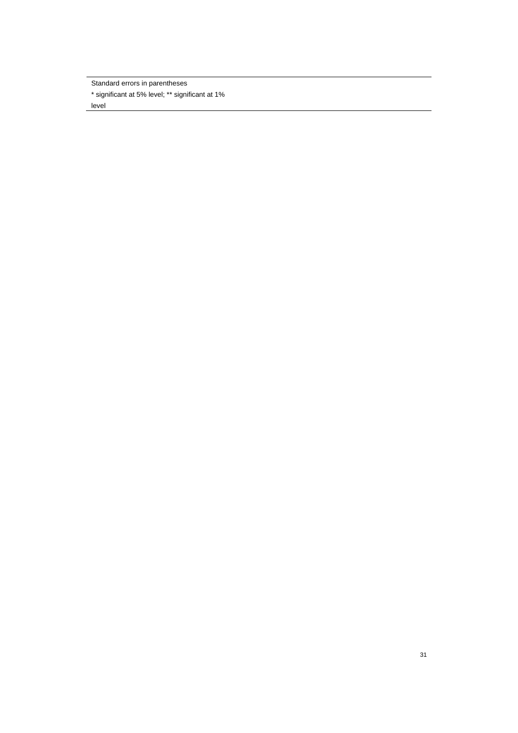Standard errors in parentheses \* significant at 5% level; \*\* significant at 1% level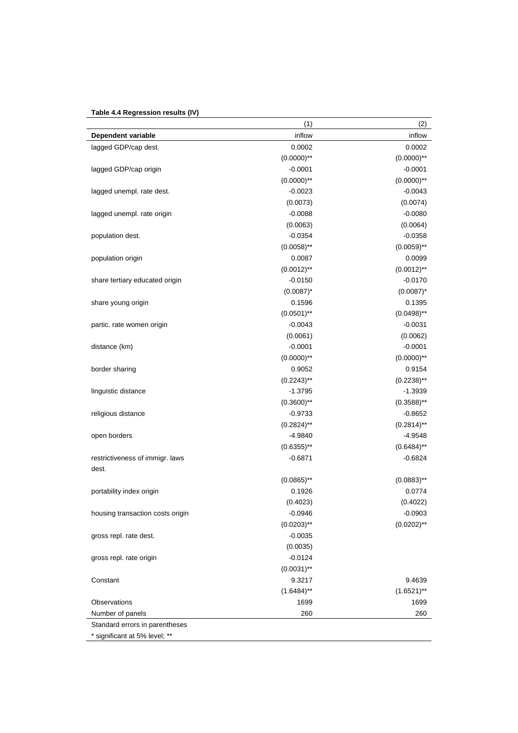# **Table 4.4 Regression results (IV)**

| inflow<br>inflow<br>0.0002<br>0.0002<br>$(0.0000)$ **<br>$-0.0001$<br>$(0.0000)$ **<br>$-0.0023$<br>(0.0073)<br>$-0.0088$ |
|---------------------------------------------------------------------------------------------------------------------------|
|                                                                                                                           |
| $(0.0000)$ **<br>$-0.0001$<br>$(0.0000)$ **<br>$-0.0043$<br>(0.0074)<br>$-0.0080$                                         |
|                                                                                                                           |
|                                                                                                                           |
|                                                                                                                           |
|                                                                                                                           |
|                                                                                                                           |
|                                                                                                                           |
| (0.0063)<br>(0.0064)                                                                                                      |
| $-0.0354$<br>$-0.0358$                                                                                                    |
| $(0.0058)$ **<br>$(0.0059)$ **                                                                                            |
| 0.0087<br>0.0099                                                                                                          |
| $(0.0012)$ **<br>$(0.0012)$ **                                                                                            |
| $-0.0170$<br>$-0.0150$                                                                                                    |
| $(0.0087)^*$<br>$(0.0087)^*$                                                                                              |
| 0.1395<br>0.1596                                                                                                          |
| $(0.0501)$ **<br>$(0.0498)$ **                                                                                            |
| $-0.0031$<br>$-0.0043$                                                                                                    |
| (0.0061)<br>(0.0062)                                                                                                      |
| $-0.0001$<br>$-0.0001$                                                                                                    |
| $(0.0000)$ **<br>$(0.0000)$ **                                                                                            |
| 0.9052<br>0.9154                                                                                                          |
| $(0.2243)$ **<br>$(0.2238)$ **                                                                                            |
| $-1.3795$<br>$-1.3939$                                                                                                    |
| $(0.3600)$ **<br>$(0.3588)$ **                                                                                            |
| $-0.9733$<br>$-0.8652$                                                                                                    |
| $(0.2824)$ **<br>$(0.2814)$ **                                                                                            |
| $-4.9840$<br>$-4.9548$                                                                                                    |
| $(0.6355)$ **<br>$(0.6484)$ **                                                                                            |
| $-0.6871$<br>$-0.6824$                                                                                                    |
|                                                                                                                           |
| $(0.0865)$ **<br>$(0.0883)$ **                                                                                            |
| 0.1926<br>0.0774                                                                                                          |
| (0.4023)<br>(0.4022)                                                                                                      |
| $-0.0946$<br>$-0.0903$                                                                                                    |
| $(0.0202)$ **<br>$(0.0203)$ **                                                                                            |
| $-0.0035$                                                                                                                 |
|                                                                                                                           |
| (0.0035)                                                                                                                  |
| $-0.0124$                                                                                                                 |
| $(0.0031)$ **                                                                                                             |
| 9.3217<br>9.4639                                                                                                          |
| $(1.6521)$ **<br>$(1.6484)$ **                                                                                            |
| 1699<br>1699                                                                                                              |
| 260<br>260                                                                                                                |
|                                                                                                                           |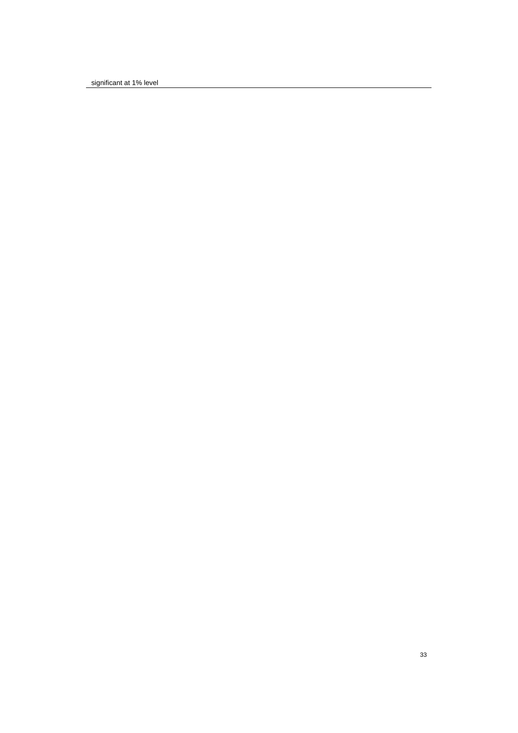significant at 1% level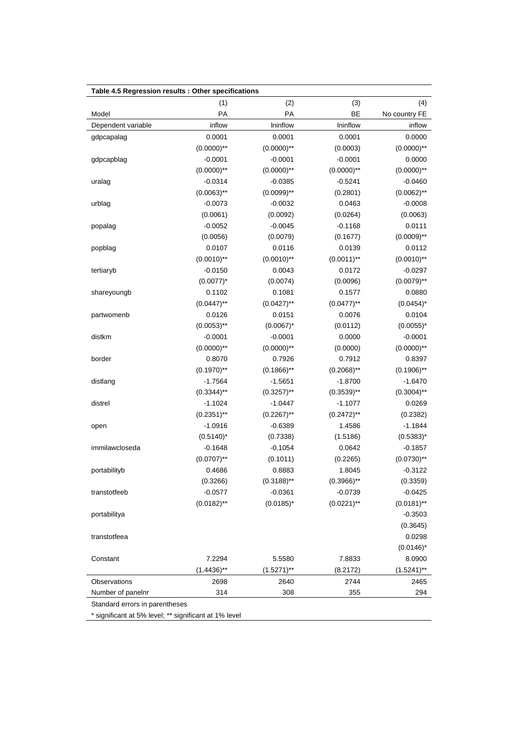| Table 4.5 Regression results : Other specifications |               |               |               |               |
|-----------------------------------------------------|---------------|---------------|---------------|---------------|
|                                                     | (1)           | (2)           | (3)           | (4)           |
| Model                                               | PA            | PA            | <b>BE</b>     | No country FE |
| Dependent variable                                  | inflow        | Ininflow      | Ininflow      | inflow        |
| gdpcapalag                                          | 0.0001        | 0.0001        | 0.0001        | 0.0000        |
|                                                     | $(0.0000)$ ** | $(0.0000)$ ** | (0.0003)      | $(0.0000)$ ** |
| gdpcapblag                                          | $-0.0001$     | $-0.0001$     | $-0.0001$     | 0.0000        |
|                                                     | $(0.0000)$ ** | $(0.0000)$ ** | $(0.0000)$ ** | $(0.0000)$ ** |
| uralag                                              | $-0.0314$     | $-0.0385$     | $-0.5241$     | $-0.0460$     |
|                                                     | $(0.0063)$ ** | $(0.0099)$ ** | (0.2801)      | $(0.0062)$ ** |
| urblag                                              | $-0.0073$     | $-0.0032$     | 0.0463        | $-0.0008$     |
|                                                     | (0.0061)      | (0.0092)      | (0.0264)      | (0.0063)      |
| popalag                                             | $-0.0052$     | $-0.0045$     | $-0.1168$     | 0.0111        |
|                                                     | (0.0056)      | (0.0079)      | (0.1677)      | $(0.0009)$ ** |
| popblag                                             | 0.0107        | 0.0116        | 0.0139        | 0.0112        |
|                                                     | $(0.0010)$ ** | $(0.0010)$ ** | $(0.0011)$ ** | $(0.0010)$ ** |
| tertiaryb                                           | $-0.0150$     | 0.0043        | 0.0172        | $-0.0297$     |
|                                                     | $(0.0077)^*$  | (0.0074)      | (0.0096)      | $(0.0079)$ ** |
| shareyoungb                                         | 0.1102        | 0.1081        | 0.1577        | 0.0880        |
|                                                     | $(0.0447)$ ** | $(0.0427)$ ** | $(0.0477)$ ** | $(0.0454)^*$  |
| partwomenb                                          | 0.0126        | 0.0151        | 0.0076        | 0.0104        |
|                                                     | $(0.0053)$ ** | $(0.0067)^*$  | (0.0112)      | $(0.0055)^*$  |
| distkm                                              | $-0.0001$     | $-0.0001$     | 0.0000        | $-0.0001$     |
|                                                     | $(0.0000)$ ** | $(0.0000)$ ** | (0.0000)      | $(0.0000)$ ** |
| border                                              | 0.8070        | 0.7926        | 0.7912        | 0.8397        |
|                                                     | $(0.1970)$ ** | $(0.1866)$ ** | $(0.2068)$ ** | $(0.1906)$ ** |
| distlang                                            | $-1.7564$     | $-1.5651$     | $-1.8700$     | $-1.6470$     |
|                                                     | $(0.3344)$ ** | $(0.3257)$ ** | $(0.3539)$ ** | $(0.3004)$ ** |
| distrel                                             | $-1.1024$     | $-1.0447$     | $-1.1077$     | 0.0269        |
|                                                     | $(0.2351)$ ** | $(0.2267)$ ** | $(0.2472)$ ** | (0.2382)      |
| open                                                | $-1.0916$     | $-0.6389$     | 1.4586        | $-1.1844$     |
|                                                     | $(0.5140)^*$  | (0.7338)      | (1.5186)      | $(0.5383)^*$  |
| immilawcloseda                                      | $-0.1648$     | $-0.1054$     | 0.0642        | $-0.1857$     |
|                                                     | $(0.0707)$ ** | (0.1011)      | (0.2265)      | $(0.0730)$ ** |
| portabilityb                                        | 0.4686        | 0.8883        | 1.8045        | $-0.3122$     |
|                                                     | (0.3266)      | $(0.3188)$ ** | $(0.3966)$ ** | (0.3359)      |
| transtotfeeb                                        | $-0.0577$     | $-0.0361$     | $-0.0739$     | $-0.0425$     |
|                                                     | $(0.0182)$ ** | $(0.0185)^*$  | $(0.0221)$ ** | $(0.0181)$ ** |
| portabilitya                                        |               |               |               | $-0.3503$     |
|                                                     |               |               |               | (0.3645)      |
| transtotfeea                                        |               |               |               | 0.0298        |
|                                                     |               |               |               | $(0.0146)^*$  |
| Constant                                            | 7.2294        | 5.5580        | 7.8833        | 8.0900        |
|                                                     | $(1.4436)$ ** | $(1.5271)$ ** | (8.2172)      | $(1.5241)$ ** |
| Observations                                        | 2698          | 2640          | 2744          | 2465          |
| Number of panelnr                                   | 314           | 308           | 355           | 294           |
| Standard errors in parentheses                      |               |               |               |               |

\* significant at 5% level; \*\* significant at 1% level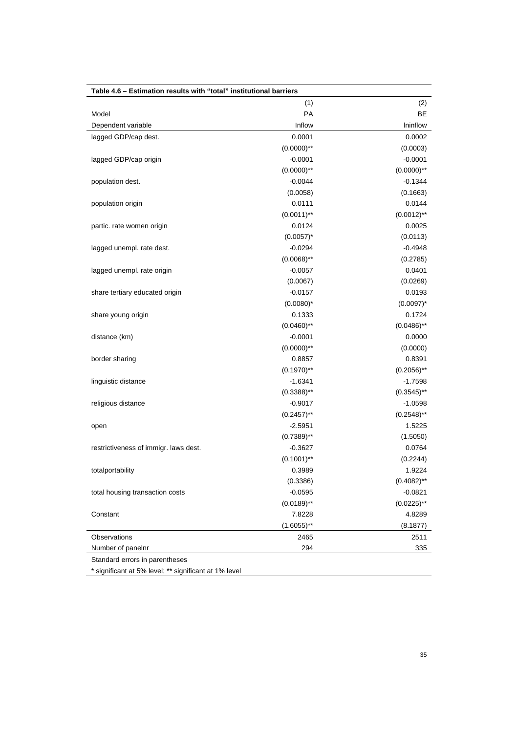| Table 4.6 - Estimation results with "total" institutional barriers |                 |               |  |
|--------------------------------------------------------------------|-----------------|---------------|--|
|                                                                    | (1)             | (2)           |  |
| Model                                                              | PA              | <b>BE</b>     |  |
| Dependent variable                                                 | Inflow          | Ininflow      |  |
| lagged GDP/cap dest.                                               | 0.0001          | 0.0002        |  |
|                                                                    | $(0.0000)$ **   | (0.0003)      |  |
| lagged GDP/cap origin                                              | $-0.0001$       | $-0.0001$     |  |
|                                                                    | $(0.0000)$ **   | $(0.0000)$ ** |  |
| population dest.                                                   | $-0.0044$       | $-0.1344$     |  |
|                                                                    | (0.0058)        | (0.1663)      |  |
| population origin                                                  | 0.0111          | 0.0144        |  |
|                                                                    | $(0.0011)$ **   | $(0.0012)$ ** |  |
| partic. rate women origin                                          | 0.0124          | 0.0025        |  |
|                                                                    | $(0.0057)^*$    | (0.0113)      |  |
| lagged unempl. rate dest.                                          | $-0.0294$       | $-0.4948$     |  |
|                                                                    | $(0.0068)$ **   | (0.2785)      |  |
| lagged unempl. rate origin                                         | $-0.0057$       | 0.0401        |  |
|                                                                    | (0.0067)        | (0.0269)      |  |
| share tertiary educated origin                                     | $-0.0157$       | 0.0193        |  |
|                                                                    | $(0.0080)^*$    | $(0.0097)^*$  |  |
| share young origin                                                 | 0.1333          | 0.1724        |  |
|                                                                    | $(0.0460)$ **   | $(0.0486)$ ** |  |
| distance (km)                                                      | $-0.0001$       | 0.0000        |  |
|                                                                    | $(0.0000)$ **   | (0.0000)      |  |
| border sharing                                                     | 0.8857          | 0.8391        |  |
|                                                                    | $(0.1970)$ **   | $(0.2056)$ ** |  |
| linguistic distance                                                | $-1.6341$       | $-1.7598$     |  |
|                                                                    | $(0.3388)^{**}$ | $(0.3545)$ ** |  |
| religious distance                                                 | $-0.9017$       | $-1.0598$     |  |
|                                                                    | $(0.2457)$ **   | $(0.2548)$ ** |  |
| open                                                               | $-2.5951$       | 1.5225        |  |
|                                                                    | $(0.7389)$ **   | (1.5050)      |  |
| restrictiveness of immigr. laws dest.                              | $-0.3627$       | 0.0764        |  |
|                                                                    | $(0.1001)$ **   | (0.2244)      |  |
| totalportability                                                   | 0.3989          | 1.9224        |  |
|                                                                    | (0.3386)        | $(0.4082)$ ** |  |
| total housing transaction costs                                    | $-0.0595$       | $-0.0821$     |  |
|                                                                    | $(0.0189)$ **   | $(0.0225)$ ** |  |
| Constant                                                           | 7.8228          | 4.8289        |  |
|                                                                    | $(1.6055)$ **   | (8.1877)      |  |
| Observations                                                       | 2465            | 2511          |  |
| Number of panelnr                                                  | 294             | 335           |  |
| Standard errors in parentheses                                     |                 |               |  |

\* significant at 5% level; \*\* significant at 1% level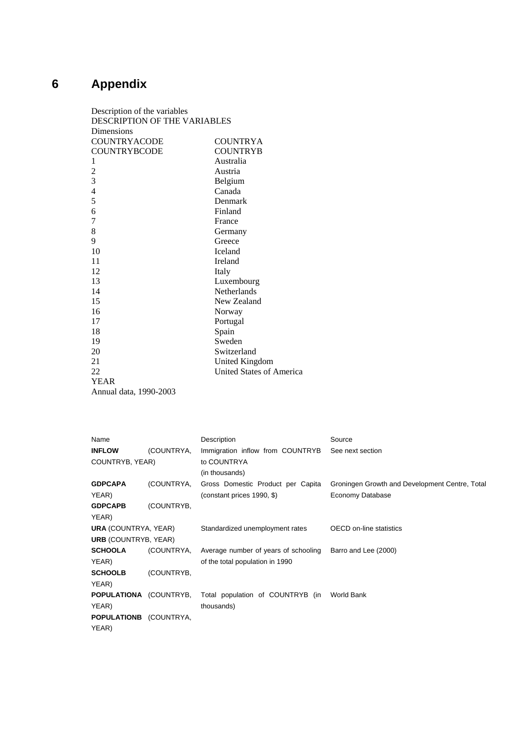# **6 Appendix**

| Description of the variables |                          |  |  |
|------------------------------|--------------------------|--|--|
| DESCRIPTION OF THE VARIABLES |                          |  |  |
| Dimensions                   |                          |  |  |
| <b>COUNTRYACODE</b>          | <b>COUNTRYA</b>          |  |  |
| <b>COUNTRYBCODE</b>          | <b>COUNTRYB</b>          |  |  |
| 1                            | Australia                |  |  |
| $\overline{c}$               | Austria                  |  |  |
| 3                            | Belgium                  |  |  |
| $\overline{4}$               | Canada                   |  |  |
| 5                            | Denmark                  |  |  |
| 6                            | Finland                  |  |  |
| 7                            | France                   |  |  |
| 8                            | Germany                  |  |  |
| 9                            | Greece                   |  |  |
| 10                           | <b>Iceland</b>           |  |  |
| 11                           | Ireland                  |  |  |
| 12                           | Italy                    |  |  |
| 13                           | Luxembourg               |  |  |
| 14                           | <b>Netherlands</b>       |  |  |
| 15                           | New Zealand              |  |  |
| 16                           | Norway                   |  |  |
| 17                           | Portugal                 |  |  |
| 18                           | Spain                    |  |  |
| 19                           | Sweden                   |  |  |
| 20                           | Switzerland              |  |  |
| 21                           | <b>United Kingdom</b>    |  |  |
| 22                           | United States of America |  |  |
| <b>YEAR</b>                  |                          |  |  |
| Annual data, 1990-2003       |                          |  |  |

| Name                          |            | Description                                                               | Source                                         |
|-------------------------------|------------|---------------------------------------------------------------------------|------------------------------------------------|
| <b>INFLOW</b>                 | (COUNTRYA, | Immigration inflow from COUNTRYB                                          | See next section                               |
| COUNTRYB, YEAR)               |            | to COUNTRYA                                                               |                                                |
|                               |            | (in thousands)                                                            |                                                |
| <b>GDPCAPA</b>                | (COUNTRYA, | Gross Domestic Product per Capita                                         | Groningen Growth and Development Centre, Total |
| YEAR)                         |            | (constant prices 1990, \$)                                                | Economy Database                               |
| <b>GDPCAPB</b>                | (COUNTRYB, |                                                                           |                                                |
| YEAR)                         |            |                                                                           |                                                |
| <b>URA (COUNTRYA, YEAR)</b>   |            | Standardized unemployment rates                                           | <b>OECD</b> on-line statistics                 |
| <b>URB</b> (COUNTRYB, YEAR)   |            |                                                                           |                                                |
| <b>SCHOOLA</b>                | (COUNTRYA, | Average number of years of schooling                                      | Barro and Lee (2000)                           |
| YEAR)                         |            | of the total population in 1990                                           |                                                |
| <b>SCHOOLB</b>                | (COUNTRYB, |                                                                           |                                                |
| YEAR)                         |            |                                                                           |                                                |
|                               |            | <b>POPULATIONA</b> (COUNTRYB, Total population of COUNTRYB (in World Bank |                                                |
| YEAR)                         |            | thousands)                                                                |                                                |
| <b>POPULATIONB</b> (COUNTRYA, |            |                                                                           |                                                |
| YEAR)                         |            |                                                                           |                                                |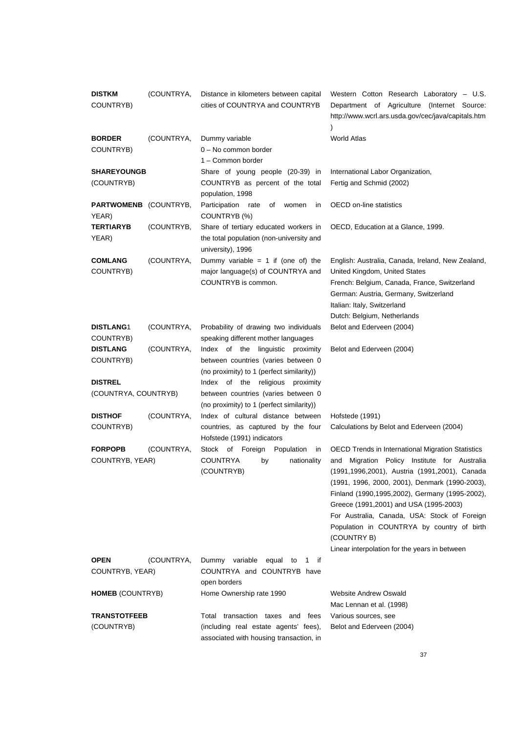| <b>DISTKM</b><br>COUNTRYB)            | (COUNTRYA, | Distance in kilometers between capital<br>cities of COUNTRYA and COUNTRYB        | Western Cotton Research Laboratory - U.S.<br>Department of Agriculture (Internet Source:<br>http://www.wcrl.ars.usda.gov/cec/java/capitals.htm |
|---------------------------------------|------------|----------------------------------------------------------------------------------|------------------------------------------------------------------------------------------------------------------------------------------------|
| <b>BORDER</b><br>COUNTRYB)            | (COUNTRYA, | Dummy variable<br>0 - No common border                                           | <b>World Atlas</b>                                                                                                                             |
|                                       |            | 1 - Common border                                                                |                                                                                                                                                |
| <b>SHAREYOUNGB</b>                    |            | Share of young people (20-39) in                                                 | International Labor Organization,                                                                                                              |
| (COUNTRYB)                            |            | COUNTRYB as percent of the total<br>population, 1998                             | Fertig and Schmid (2002)                                                                                                                       |
| <b>PARTWOMENB</b> (COUNTRYB,<br>YEAR) |            | Participation<br>of<br>rate<br>women<br>in<br>COUNTRYB (%)                       | <b>OECD</b> on-line statistics                                                                                                                 |
| <b>TERTIARYB</b>                      | (COUNTRYB, | Share of tertiary educated workers in                                            | OECD, Education at a Glance, 1999.                                                                                                             |
| YEAR)                                 |            | the total population (non-university and<br>university), 1996                    |                                                                                                                                                |
| <b>COMLANG</b>                        | (COUNTRYA, | Dummy variable = $1$ if (one of) the                                             | English: Australia, Canada, Ireland, New Zealand,                                                                                              |
| COUNTRYB)                             |            | major language(s) of COUNTRYA and                                                | United Kingdom, United States                                                                                                                  |
|                                       |            | COUNTRYB is common.                                                              | French: Belgium, Canada, France, Switzerland                                                                                                   |
|                                       |            |                                                                                  | German: Austria, Germany, Switzerland                                                                                                          |
|                                       |            |                                                                                  | Italian: Italy, Switzerland                                                                                                                    |
|                                       |            |                                                                                  | Dutch: Belgium, Netherlands                                                                                                                    |
| <b>DISTLANG1</b>                      | (COUNTRYA, | Probability of drawing two individuals<br>speaking different mother languages    | Belot and Ederveen (2004)                                                                                                                      |
| COUNTRYB)<br><b>DISTLANG</b>          | (COUNTRYA, | Index of the linguistic proximity                                                | Belot and Ederveen (2004)                                                                                                                      |
| COUNTRYB)                             |            | between countries (varies between 0                                              |                                                                                                                                                |
|                                       |            | (no proximity) to 1 (perfect similarity))                                        |                                                                                                                                                |
| <b>DISTREL</b>                        |            | Index of the<br>religious<br>proximity                                           |                                                                                                                                                |
| (COUNTRYA, COUNTRYB)                  |            | between countries (varies between 0<br>(no proximity) to 1 (perfect similarity)) |                                                                                                                                                |
| <b>DISTHOF</b>                        | (COUNTRYA, | Index of cultural distance between                                               | Hofstede (1991)                                                                                                                                |
| COUNTRYB)                             |            | countries, as captured by the four<br>Hofstede (1991) indicators                 | Calculations by Belot and Ederveen (2004)                                                                                                      |
| <b>FORPOPB</b>                        | (COUNTRYA, | Stock of Foreign<br>Population<br>in                                             | <b>OECD Trends in International Migration Statistics</b>                                                                                       |
| COUNTRYB, YEAR)                       |            | <b>COUNTRYA</b><br>nationality<br>by                                             | Migration Policy Institute for Australia<br>and                                                                                                |
|                                       |            | (COUNTRYB)                                                                       | (1991,1996,2001), Austria (1991,2001), Canada                                                                                                  |
|                                       |            |                                                                                  | (1991, 1996, 2000, 2001), Denmark (1990-2003),                                                                                                 |
|                                       |            |                                                                                  | Finland (1990, 1995, 2002), Germany (1995-2002),                                                                                               |
|                                       |            |                                                                                  | Greece (1991,2001) and USA (1995-2003)                                                                                                         |
|                                       |            |                                                                                  | For Australia, Canada, USA: Stock of Foreign                                                                                                   |
|                                       |            |                                                                                  | Population in COUNTRYA by country of birth<br>(COUNTRY B)                                                                                      |
|                                       |            |                                                                                  | Linear interpolation for the years in between                                                                                                  |
| <b>OPEN</b>                           | (COUNTRYA, | Dummy variable<br>1<br>equal to<br>if                                            |                                                                                                                                                |
| COUNTRYB, YEAR)                       |            | COUNTRYA and COUNTRYB have<br>open borders                                       |                                                                                                                                                |
| <b>HOMEB</b> (COUNTRYB)               |            | Home Ownership rate 1990                                                         | <b>Website Andrew Oswald</b>                                                                                                                   |
|                                       |            |                                                                                  | Mac Lennan et al. (1998)                                                                                                                       |
| <b>TRANSTOTFEEB</b>                   |            | Total transaction taxes and fees                                                 | Various sources, see                                                                                                                           |
| (COUNTRYB)                            |            | (including real estate agents' fees),<br>associated with housing transaction, in | Belot and Ederveen (2004)                                                                                                                      |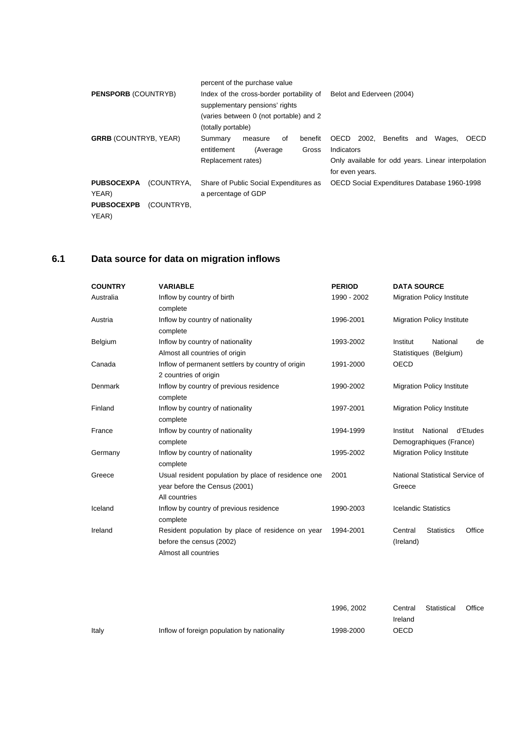| <b>PENSPORB (COUNTRYB)</b>                               |                          | percent of the purchase value<br>Index of the cross-border portability of<br>Belot and Ederveen (2004)<br>supplementary pensions' rights<br>(varies between 0 (not portable) and 2<br>(totally portable)                                           |
|----------------------------------------------------------|--------------------------|----------------------------------------------------------------------------------------------------------------------------------------------------------------------------------------------------------------------------------------------------|
| <b>GRRB</b> (COUNTRYB, YEAR)                             |                          | OECD<br>2002,<br>Benefits<br>Wages,<br><b>OECD</b><br>Summary<br>benefit<br>οf<br>and<br>measure<br>entitlement<br>Indicators<br>Gross<br>(Average)<br>Only available for odd years. Linear interpolation<br>Replacement rates)<br>for even years. |
| <b>PUBSOCEXPA</b><br>YEAR)<br><b>PUBSOCEXPB</b><br>YEAR) | (COUNTRYA.<br>(COUNTRYB, | Share of Public Social Expenditures as<br>OECD Social Expenditures Database 1960-1998<br>a percentage of GDP                                                                                                                                       |

# **6.1 Data source for data on migration inflows**

| <b>COUNTRY</b> | <b>VARIABLE</b>                                     | <b>PERIOD</b> | <b>DATA SOURCE</b>                     |
|----------------|-----------------------------------------------------|---------------|----------------------------------------|
| Australia      | Inflow by country of birth                          | 1990 - 2002   | <b>Migration Policy Institute</b>      |
|                | complete                                            |               |                                        |
| Austria        | Inflow by country of nationality                    | 1996-2001     | <b>Migration Policy Institute</b>      |
|                | complete                                            |               |                                        |
| Belgium        | Inflow by country of nationality                    | 1993-2002     | National<br>Institut<br>de             |
|                | Almost all countries of origin                      |               | Statistiques (Belgium)                 |
| Canada         | Inflow of permanent settlers by country of origin   | 1991-2000     | <b>OECD</b>                            |
|                | 2 countries of origin                               |               |                                        |
| Denmark        | Inflow by country of previous residence             | 1990-2002     | <b>Migration Policy Institute</b>      |
|                | complete                                            |               |                                        |
| Finland        | Inflow by country of nationality                    | 1997-2001     | <b>Migration Policy Institute</b>      |
|                | complete                                            |               |                                        |
| France         | Inflow by country of nationality                    | 1994-1999     | d'Etudes<br>National<br>Institut       |
|                | complete                                            |               | Demographiques (France)                |
| Germany        | Inflow by country of nationality                    | 1995-2002     | <b>Migration Policy Institute</b>      |
|                | complete                                            |               |                                        |
| Greece         | Usual resident population by place of residence one | 2001          | National Statistical Service of        |
|                | year before the Census (2001)                       |               | Greece                                 |
|                | All countries                                       |               |                                        |
| Iceland        | Inflow by country of previous residence             | 1990-2003     | <b>Icelandic Statistics</b>            |
|                | complete                                            |               |                                        |
| Ireland        | Resident population by place of residence on year   | 1994-2001     | Office<br><b>Statistics</b><br>Central |
|                | before the census (2002)                            |               | (Ireland)                              |
|                | Almost all countries                                |               |                                        |

|       |                                             | 1996, 2002 | Central | Statistical | Office |
|-------|---------------------------------------------|------------|---------|-------------|--------|
|       |                                             |            | Ireland |             |        |
| Italy | Inflow of foreign population by nationality | 1998-2000  | OECD    |             |        |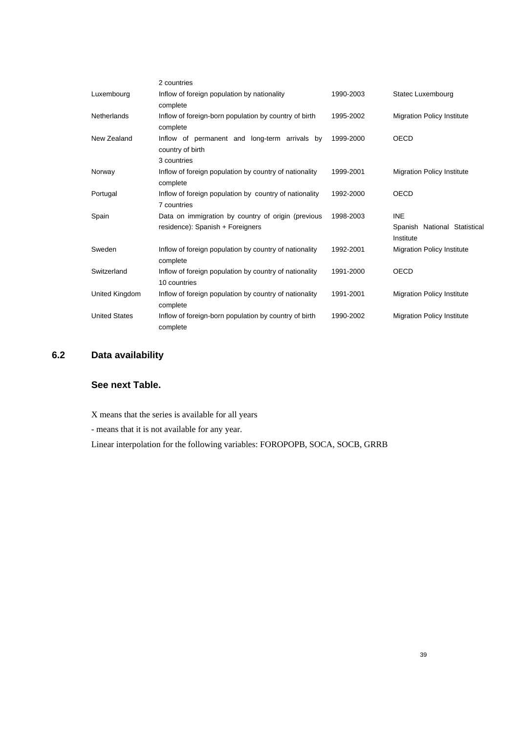|                      | 2 countries                                                                            |           |                                                         |
|----------------------|----------------------------------------------------------------------------------------|-----------|---------------------------------------------------------|
| Luxembourg           | Inflow of foreign population by nationality<br>complete                                | 1990-2003 | Statec Luxembourg                                       |
| Netherlands          | Inflow of foreign-born population by country of birth<br>complete                      | 1995-2002 | <b>Migration Policy Institute</b>                       |
| New Zealand          | Inflow of permanent and long-term arrivals by<br>country of birth<br>3 countries       | 1999-2000 | OECD                                                    |
| Norway               | Inflow of foreign population by country of nationality<br>complete                     | 1999-2001 | <b>Migration Policy Institute</b>                       |
| Portugal             | Inflow of foreign population by country of nationality<br>7 countries                  | 1992-2000 | OECD                                                    |
| Spain                | Data on immigration by country of origin (previous<br>residence): Spanish + Foreigners | 1998-2003 | <b>INE</b><br>Spanish National Statistical<br>Institute |
| Sweden               | Inflow of foreign population by country of nationality<br>complete                     | 1992-2001 | <b>Migration Policy Institute</b>                       |
| Switzerland          | Inflow of foreign population by country of nationality<br>10 countries                 | 1991-2000 | OECD                                                    |
| United Kingdom       | Inflow of foreign population by country of nationality<br>complete                     | 1991-2001 | <b>Migration Policy Institute</b>                       |
| <b>United States</b> | Inflow of foreign-born population by country of birth<br>complete                      | 1990-2002 | <b>Migration Policy Institute</b>                       |

# **6.2 Data availability**

# **See next Table.**

X means that the series is available for all years

- means that it is not available for any year.

Linear interpolation for the following variables: FOROPOPB, SOCA, SOCB, GRRB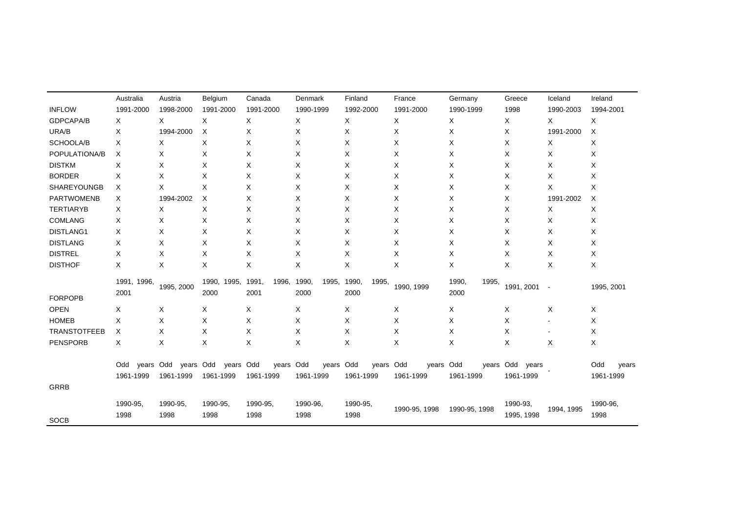|                     | Australia           | Austria    | Belgium                | Canada                 | Denmark                | Finland                | France        | Germany                | Greece          | Iceland    | Ireland      |
|---------------------|---------------------|------------|------------------------|------------------------|------------------------|------------------------|---------------|------------------------|-----------------|------------|--------------|
| <b>INFLOW</b>       | 1991-2000           | 1998-2000  | 1991-2000              | 1991-2000              | 1990-1999              | 1992-2000              | 1991-2000     | 1990-1999              | 1998            | 1990-2003  | 1994-2001    |
| GDPCAPA/B           | X                   | X          | X                      | X                      | X                      | X                      | X             | X                      | X               | X          | X            |
| URA/B               | X                   | 1994-2000  | Χ                      | X                      | X                      | X                      | X             | Χ                      | X               | 1991-2000  | Χ            |
| SCHOOLA/B           | X                   | X          | X                      | X                      | Χ                      | Χ                      | X             | X                      | X               | X          | X            |
| POPULATIONA/B       | X                   | X          | X                      | X                      | X                      | X                      | X             | X                      | Χ               | X          | X            |
| <b>DISTKM</b>       | X                   | X          | X                      | X                      | X                      | X                      | X             | X                      | Χ               | X          | X            |
| <b>BORDER</b>       | X                   | X          | X                      | X                      | Χ                      | X                      | X             | X                      | Χ               | X          | X            |
| SHAREYOUNGB         | Χ                   | X          | X                      | Χ                      | X                      | X                      | X             | Χ                      | X               | X          | X            |
| <b>PARTWOMENB</b>   | Χ                   | 1994-2002  | X                      | X                      | X                      | X                      | X             | X                      | X               | 1991-2002  | Χ            |
| <b>TERTIARYB</b>    | Χ                   | Χ          | Χ                      | X                      | X                      | X                      | X             | X                      | X               | X          | X            |
| COMLANG             | X                   | X          | X                      | X                      | X                      | X                      | X             | X                      | X               | X          | X            |
| DISTLANG1           | X                   | X          | X                      | X                      | X                      | X                      | X             | Χ                      | X               | X          | X            |
| <b>DISTLANG</b>     | X                   | X          | X                      | X                      | Χ                      | Χ                      | X             | X                      | X               | X          | X            |
| <b>DISTREL</b>      | X                   | X          | X                      | X                      | X                      | X                      | X             | X                      | X               | X          | X            |
| <b>DISTHOF</b>      | X                   | X          | X                      | X                      | X                      | X                      | X             | X                      | X               | X          | X            |
| <b>FORPOPB</b>      | 1991, 1996,<br>2001 | 1995, 2000 | 1990,<br>1995.<br>2000 | 1991,<br>1996,<br>2001 | 1990,<br>1995,<br>2000 | 1990,<br>1995,<br>2000 | 1990, 1999    | 1990,<br>1995,<br>2000 | 1991, 2001      | $\sim$     | 1995, 2001   |
| <b>OPEN</b>         | X                   | X          | Χ                      | X                      | X                      | X                      | X             | X                      | X               | X          | X            |
| <b>HOMEB</b>        | X                   | X          | X                      | Χ                      | Χ                      | Х                      | Χ             | X                      | X               | ۰          | X            |
| <b>TRANSTOTFEEB</b> | Х                   | X          | X                      | X                      | X                      | X                      | X             | X                      | X               | ۰          | X            |
| <b>PENSPORB</b>     | X                   | X          | X                      | X                      | X                      | X                      | X             | X                      | X               | X          | X            |
|                     | years Odd<br>Odd    | vears Odd  | years Odd              | years Odd              | years Odd              | years Odd              | years Odd     |                        | years Odd years |            | Odd<br>years |
|                     | 1961-1999           | 1961-1999  | 1961-1999              | 1961-1999              | 1961-1999              | 1961-1999              | 1961-1999     | 1961-1999              | 1961-1999       |            | 1961-1999    |
| <b>GRRB</b>         |                     |            |                        |                        |                        |                        |               |                        |                 |            |              |
|                     | 1990-95,            | 1990-95,   | 1990-95,               | 1990-95,               | 1990-96,               | 1990-95,               | 1990-95, 1998 | 1990-95, 1998          | 1990-93.        | 1994, 1995 | 1990-96,     |
| <b>SOCB</b>         | 1998                | 1998       | 1998                   | 1998                   | 1998                   | 1998                   |               |                        | 1995, 1998      |            | 1998         |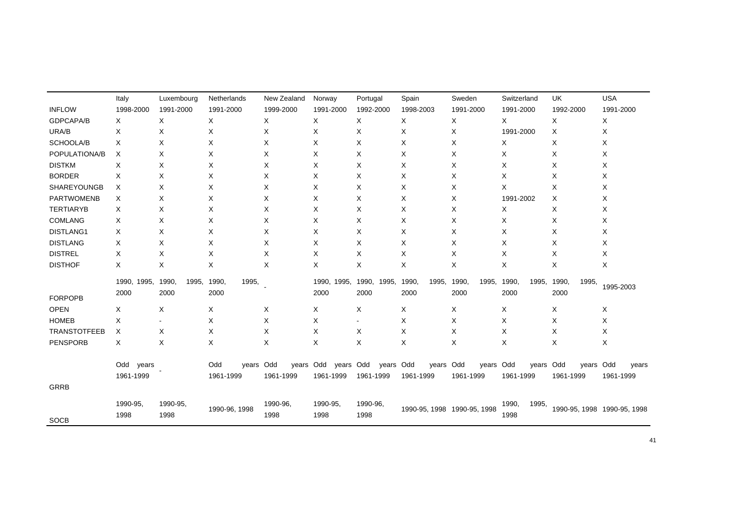|                     | Italy        | Luxembourg     | Netherlands      | New Zealand | Norway      | Portugal       | Spain            | Sweden                      | Switzerland    | UK             | <b>USA</b>                  |
|---------------------|--------------|----------------|------------------|-------------|-------------|----------------|------------------|-----------------------------|----------------|----------------|-----------------------------|
| <b>INFLOW</b>       | 1998-2000    | 1991-2000      | 1991-2000        | 1999-2000   | 1991-2000   | 1992-2000      | 1998-2003        | 1991-2000                   | 1991-2000      | 1992-2000      | 1991-2000                   |
| GDPCAPA/B           | X            | X              | X                | X           | X           | X              | X                | X                           | X              | X              | X                           |
| URA/B               | Х            | Χ              | Х                | X           | X           | Х              | Х                | X                           | 1991-2000      | Х              | X                           |
| SCHOOLA/B           | X            | X              | X                | X           | X           | X              | X                | X                           | X              | X              | X                           |
| POPULATIONA/B       | Χ            | Χ              | Х                | X           | X           | X              | X                | Χ                           | Χ              | Χ              | X                           |
| <b>DISTKM</b>       | X            | Χ              | X                | X           | X           | X              | X                | X                           | X              | X              | X                           |
| <b>BORDER</b>       | Χ            | Χ              | Χ                | X           | X           | X              | X                | X                           | X              | X              | X                           |
| SHAREYOUNGB         | X            | X              | Х                | Χ           | X           | X              | X                | X                           | X              | X              | X                           |
| <b>PARTWOMENB</b>   | Χ            | Χ              | Χ                | X           | X           | X              | X                | X                           | 1991-2002      | X              | X                           |
| <b>TERTIARYB</b>    | Χ            | Χ              | Χ                | Х           | X           | X              | X                | Χ                           | Х              | X              | X                           |
| <b>COMLANG</b>      | Χ            | Х              | Χ                | Χ           | X           | X              | X                | X                           | X              | X              | X                           |
| DISTLANG1           | Χ            | X              | X                | X           | X           | X              | X                | X                           | X              | Χ              | X                           |
| <b>DISTLANG</b>     | X            | X              | X                | X           | X           | X              | X                | X                           | X              | X              | Χ                           |
| <b>DISTREL</b>      | X            | X              | X                | X           | X           | X              | X                | X                           | X              | X              | X                           |
| <b>DISTHOF</b>      | X            | Χ              | X                | X           | X           | X              | X                | X                           | X              | X              | X                           |
|                     | 1990, 1995,  | 1990,<br>1995, | 1990,<br>1995,   |             | 1990, 1995, | 1990,<br>1995, | 1990,<br>1995,   | 1990,<br>1995,              | 1990<br>1995,  | 1990,<br>1995, |                             |
|                     | 2000         | 2000           | 2000             |             | 2000        | 2000           | 2000             | 2000                        | 2000           | 2000           | 1995-2003                   |
| <b>FORPOPB</b>      |              |                |                  |             |             |                |                  |                             |                |                |                             |
| <b>OPEN</b>         | X            | X              | Х                | X           | X           | X              | X                | X                           | X              | X              | X                           |
| <b>HOMEB</b>        | X            |                | X                | X           | X           |                | X                | X                           | X              | X              | Χ                           |
| <b>TRANSTOTFEEB</b> | X            | X              | Χ                | X           | X           | X              | X                | X                           | X              | X              | X                           |
| <b>PENSPORB</b>     | X            | X              | X                | X           | X           | X              | X                | Χ                           | X              | X              | X                           |
|                     | Odd<br>years |                | Odd<br>years Odd | years Odd   | years Odd   | years          | Odd<br>years Odd | years Odd                   | years Odd      | years Odd      | years                       |
|                     | 1961-1999    |                | 1961-1999        | 1961-1999   | 1961-1999   | 1961-1999      | 1961-1999        | 1961-1999                   | 1961-1999      | 1961-1999      | 1961-1999                   |
| <b>GRRB</b>         |              |                |                  |             |             |                |                  |                             |                |                |                             |
|                     |              |                |                  |             |             |                |                  |                             |                |                |                             |
|                     | 1990-95,     | 1990-95,       | 1990-96, 1998    | 1990-96.    | 1990-95,    | 1990-96.       |                  | 1990-95, 1998 1990-95, 1998 | 1990.<br>1995, |                | 1990-95, 1998 1990-95, 1998 |
| <b>SOCB</b>         | 1998         | 1998           |                  | 1998        | 1998        | 1998           |                  |                             | 1998           |                |                             |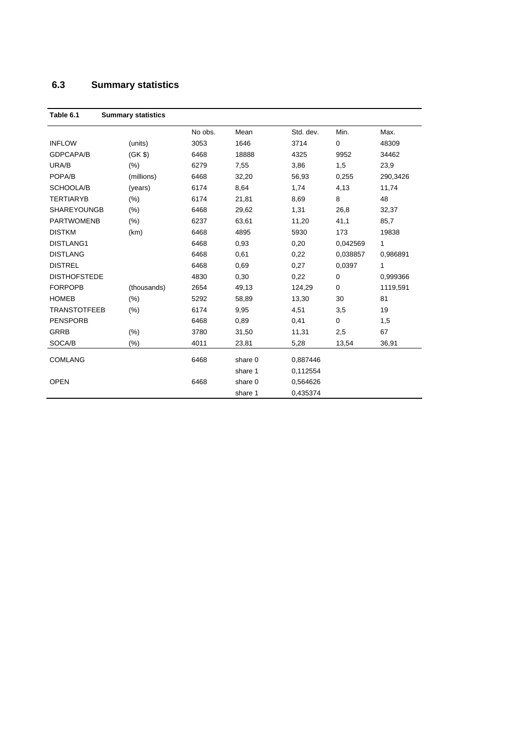# **6.3 Summary statistics**

| Table 6.1           | <b>Summary statistics</b> |         |         |           |             |          |
|---------------------|---------------------------|---------|---------|-----------|-------------|----------|
|                     |                           | No obs. | Mean    | Std. dev. | Min.        | Max.     |
| <b>INFLOW</b>       | (units)                   | 3053    | 1646    | 3714      | $\mathbf 0$ | 48309    |
| <b>GDPCAPA/B</b>    | (GK \$)                   | 6468    | 18888   | 4325      | 9952        | 34462    |
| URA/B               | (% )                      | 6279    | 7,55    | 3,86      | 1,5         | 23,9     |
| POPA/B              | (millions)                | 6468    | 32,20   | 56,93     | 0,255       | 290,3426 |
| SCHOOLA/B           | (years)                   | 6174    | 8,64    | 1,74      | 4,13        | 11,74    |
| <b>TERTIARYB</b>    | $(\% )$                   | 6174    | 21,81   | 8,69      | 8           | 48       |
| <b>SHAREYOUNGB</b>  | $(\% )$                   | 6468    | 29,62   | 1,31      | 26,8        | 32,37    |
| <b>PARTWOMENB</b>   | (% )                      | 6237    | 63,61   | 11,20     | 41,1        | 85,7     |
| <b>DISTKM</b>       | (km)                      | 6468    | 4895    | 5930      | 173         | 19838    |
| DISTLANG1           |                           | 6468    | 0,93    | 0,20      | 0,042569    | 1        |
| <b>DISTLANG</b>     |                           | 6468    | 0,61    | 0,22      | 0.038857    | 0.986891 |
| <b>DISTREL</b>      |                           | 6468    | 0,69    | 0,27      | 0,0397      | 1        |
| <b>DISTHOFSTEDE</b> |                           | 4830    | 0,30    | 0,22      | $\mathbf 0$ | 0.999366 |
| <b>FORPOPB</b>      | (thousands)               | 2654    | 49,13   | 124,29    | 0           | 1119,591 |
| <b>HOMEB</b>        | (% )                      | 5292    | 58,89   | 13,30     | 30          | 81       |
| <b>TRANSTOTFEEB</b> | $(\%)$                    | 6174    | 9,95    | 4,51      | 3,5         | 19       |
| <b>PENSPORB</b>     |                           | 6468    | 0,89    | 0,41      | $\mathbf 0$ | 1,5      |
| <b>GRRB</b>         | $(\%)$                    | 3780    | 31,50   | 11,31     | 2,5         | 67       |
| SOCA/B              | $(\% )$                   | 4011    | 23,81   | 5,28      | 13,54       | 36,91    |
| <b>COMLANG</b>      |                           | 6468    | share 0 | 0,887446  |             |          |
|                     |                           |         | share 1 | 0,112554  |             |          |
| <b>OPEN</b>         |                           | 6468    | share 0 | 0,564626  |             |          |
|                     |                           |         | share 1 | 0,435374  |             |          |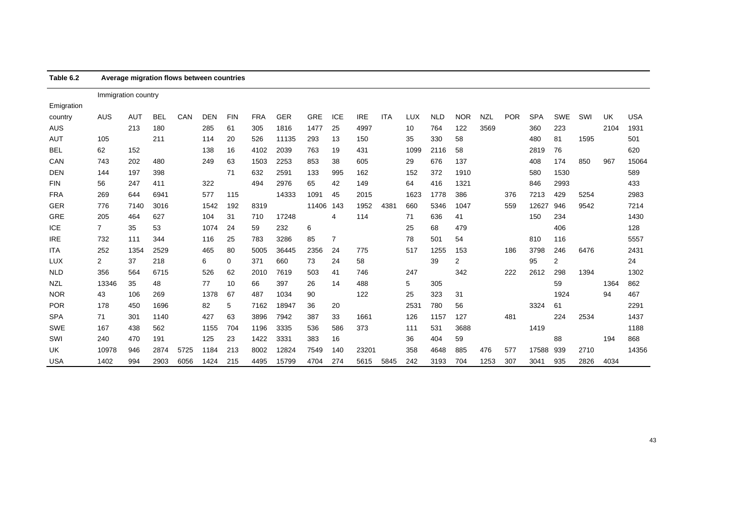| Table 6.2  |                     | Average migration flows between countries |            |      |            |            |            |            |            |            |            |            |            |            |            |            |            |            |            |      |      |            |
|------------|---------------------|-------------------------------------------|------------|------|------------|------------|------------|------------|------------|------------|------------|------------|------------|------------|------------|------------|------------|------------|------------|------|------|------------|
|            | Immigration country |                                           |            |      |            |            |            |            |            |            |            |            |            |            |            |            |            |            |            |      |      |            |
| Emigration |                     |                                           |            |      |            |            |            |            |            |            |            |            |            |            |            |            |            |            |            |      |      |            |
| country    | <b>AUS</b>          | <b>AUT</b>                                | <b>BEL</b> | CAN  | <b>DEN</b> | <b>FIN</b> | <b>FRA</b> | <b>GER</b> | <b>GRE</b> | <b>ICE</b> | <b>IRE</b> | <b>ITA</b> | <b>LUX</b> | <b>NLD</b> | <b>NOR</b> | <b>NZL</b> | <b>POR</b> | <b>SPA</b> | <b>SWE</b> | SWI  | UK   | <b>USA</b> |
| <b>AUS</b> |                     | 213                                       | 180        |      | 285        | 61         | 305        | 1816       | 1477       | 25         | 4997       |            | 10         | 764        | 122        | 3569       |            | 360        | 223        |      | 2104 | 1931       |
| AUT        | 105                 |                                           | 211        |      | 114        | 20         | 526        | 11135      | 293        | 13         | 150        |            | 35         | 330        | 58         |            |            | 480        | 81         | 1595 |      | 501        |
| BEL        | 62                  | 152                                       |            |      | 138        | 16         | 4102       | 2039       | 763        | 19         | 431        |            | 1099       | 2116       | 58         |            |            | 2819       | 76         |      |      | 620        |
| CAN        | 743                 | 202                                       | 480        |      | 249        | 63         | 1503       | 2253       | 853        | 38         | 605        |            | 29         | 676        | 137        |            |            | 408        | 174        | 850  | 967  | 15064      |
| <b>DEN</b> | 144                 | 197                                       | 398        |      |            | 71         | 632        | 2591       | 133        | 995        | 162        |            | 152        | 372        | 1910       |            |            | 580        | 1530       |      |      | 589        |
| <b>FIN</b> | 56                  | 247                                       | 411        |      | 322        |            | 494        | 2976       | 65         | 42         | 149        |            | 64         | 416        | 1321       |            |            | 846        | 2993       |      |      | 433        |
| <b>FRA</b> | 269                 | 644                                       | 6941       |      | 577        | 115        |            | 14333      | 1091       | 45         | 2015       |            | 1623       | 1778       | 386        |            | 376        | 7213       | 429        | 5254 |      | 2983       |
| <b>GER</b> | 776                 | 7140                                      | 3016       |      | 1542       | 192        | 8319       |            | 11406      | 143        | 1952       | 4381       | 660        | 5346       | 1047       |            | 559        | 12627      | 946        | 9542 |      | 7214       |
| <b>GRE</b> | 205                 | 464                                       | 627        |      | 104        | 31         | 710        | 17248      |            | 4          | 114        |            | 71         | 636        | 41         |            |            | 150        | 234        |      |      | 1430       |
| ICE        | $\overline{7}$      | 35                                        | 53         |      | 1074       | 24         | 59         | 232        | 6          |            |            |            | 25         | 68         | 479        |            |            |            | 406        |      |      | 128        |
| <b>IRE</b> | 732                 | 111                                       | 344        |      | 116        | 25         | 783        | 3286       | 85         | 7          |            |            | 78         | 501        | 54         |            |            | 810        | 116        |      |      | 5557       |
| ITA        | 252                 | 1354                                      | 2529       |      | 465        | 80         | 5005       | 36445      | 2356       | 24         | 775        |            | 517        | 1255       | 153        |            | 186        | 3798       | 246        | 6476 |      | 2431       |
| <b>LUX</b> | $\overline{2}$      | 37                                        | 218        |      | 6          | 0          | 371        | 660        | 73         | 24         | 58         |            |            | 39         | 2          |            |            | 95         | 2          |      |      | 24         |
| <b>NLD</b> | 356                 | 564                                       | 6715       |      | 526        | 62         | 2010       | 7619       | 503        | 41         | 746        |            | 247        |            | 342        |            | 222        | 2612       | 298        | 1394 |      | 1302       |
| <b>NZL</b> | 13346               | 35                                        | 48         |      | 77         | 10         | 66         | 397        | 26         | 14         | 488        |            | 5          | 305        |            |            |            |            | 59         |      | 1364 | 862        |
| <b>NOR</b> | 43                  | 106                                       | 269        |      | 1378       | 67         | 487        | 1034       | 90         |            | 122        |            | 25         | 323        | 31         |            |            |            | 1924       |      | 94   | 467        |
| <b>POR</b> | 178                 | 450                                       | 1696       |      | 82         | 5          | 7162       | 18947      | 36         | 20         |            |            | 253'       | 780        | 56         |            |            | 3324       | 61         |      |      | 2291       |
| <b>SPA</b> | 71                  | 301                                       | 1140       |      | 427        | 63         | 3896       | 7942       | 387        | 33         | 1661       |            | 126        | 1157       | 127        |            | 481        |            | 224        | 2534 |      | 1437       |
| <b>SWE</b> | 167                 | 438                                       | 562        |      | 1155       | 704        | 1196       | 3335       | 536        | 586        | 373        |            | 111        | 531        | 3688       |            |            | 1419       |            |      |      | 1188       |
| SWI        | 240                 | 470                                       | 191        |      | 125        | 23         | 1422       | 3331       | 383        | 16         |            |            | 36         | 404        | 59         |            |            |            | 88         |      | 194  | 868        |
| UK         | 10978               | 946                                       | 2874       | 5725 | 1184       | 213        | 8002       | 12824      | 7549       | 140        | 23201      |            | 358        | 4648       | 885        | 476        | 577        | 17588      | 939        | 2710 |      | 14356      |
| <b>USA</b> | 1402                | 994                                       | 2903       | 6056 | 1424       | 215        | 4495       | 15799      | 4704       | 274        | 5615       | 5845       | 242        | 3193       | 704        | 1253       | 307        | 3041       | 935        | 2826 | 4034 |            |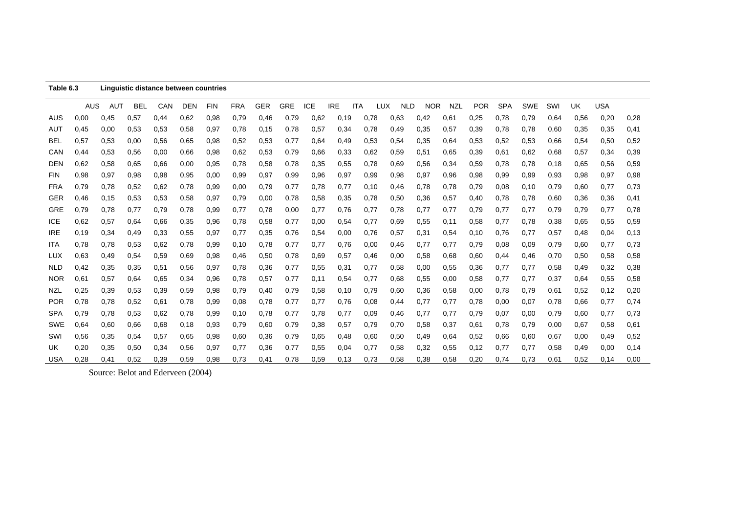| Table 6.3  |      |      |      | Linguistic distance between countries |            |            |            |            |            |            |            |            |      |            |            |            |            |            |            |      |      |            |      |
|------------|------|------|------|---------------------------------------|------------|------------|------------|------------|------------|------------|------------|------------|------|------------|------------|------------|------------|------------|------------|------|------|------------|------|
|            | AUS  | AUT  | BEL  | CAN                                   | <b>DEN</b> | <b>FIN</b> | <b>FRA</b> | <b>GER</b> | <b>GRE</b> | <b>ICE</b> | <b>IRE</b> | <b>ITA</b> | TUX  | <b>NLD</b> | <b>NOR</b> | <b>NZL</b> | <b>POR</b> | <b>SPA</b> | <b>SWE</b> | SWI  | UK   | <b>USA</b> |      |
| AUS        | 0,00 | 0,45 | 0,57 | 0,44                                  | 0.62       | 0,98       | 0,79       | 0,46       | 0,79       | 0.62       | 0,19       |            | 0,78 | 0.63       | 0,42       | 0,61       | 0,25       | 0,78       | 0,79       | 0.64 | 0,56 | 0,20       | 0,28 |
| AUT        | 0,45 | 0,00 | 0,53 | 0,53                                  | 0,58       | 0,97       | 0,78       | 0,15       | 0,78       | 0,57       | 0,34       |            | 0,78 | 0,49       | 0,35       | 0,57       | 0,39       | 0,78       | 0,78       | 0,60 | 0,35 | 0,35       | 0,41 |
| BEL        | 0,57 | 0,53 | 0,00 | 0,56                                  | 0.65       | 0,98       | 0,52       | 0,53       | 0,77       | 0.64       | 0,49       |            | 0,53 | 0,54       | 0,35       | 0,64       | 0,53       | 0,52       | 0,53       | 0,66 | 0,54 | 0,50       | 0,52 |
| CAN        | 0,44 | 0.53 | 0,56 | 0,00                                  | 0,66       | 0,98       | 0,62       | 0.53       | 0,79       | 0.66       | 0,33       |            | 0.62 | 0,59       | 0,51       | 0,65       | 0,39       | 0,61       | 0,62       | 0,68 | 0,57 | 0,34       | 0,39 |
| <b>DEN</b> | 0.62 | 0,58 | 0.65 | 0,66                                  | 0,00       | 0,95       | 0,78       | 0,58       | 0,78       | 0,35       | 0,55       |            | 0,78 | 0,69       | 0,56       | 0,34       | 0,59       | 0,78       | 0,78       | 0,18 | 0,65 | 0,56       | 0,59 |
| <b>FIN</b> | 0,98 | 0,97 | 0,98 | 0,98                                  | 0,95       | 0,00       | 0,99       | 0,97       | 0,99       | 0,96       | 0,97       |            | 0,99 | 0,98       | 0,97       | 0,96       | 0,98       | 0,99       | 0,99       | 0,93 | 0,98 | 0,97       | 0,98 |
| <b>FRA</b> | 0,79 | 0,78 | 0,52 | 0,62                                  | 0,78       | 0,99       | 0,00       | 0,79       | 0,77       | 0,78       | 0,77       |            | 0,10 | 0,46       | 0,78       | 0,78       | 0,79       | 0,08       | 0,10       | 0,79 | 0,60 | 0,77       | 0,73 |
| <b>GER</b> | 0,46 | 0,15 | 0,53 | 0,53                                  | 0,58       | 0,97       | 0,79       | 0,00       | 0,78       | 0,58       | 0,35       |            | 0,78 | 0,50       | 0,36       | 0,57       | 0,40       | 0,78       | 0,78       | 0,60 | 0,36 | 0,36       | 0,41 |
| <b>GRE</b> | 0,79 | 0,78 | 0,77 | 0,79                                  | 0,78       | 0,99       | 0,77       | 0,78       | 0,00       | 0,77       | 0,76       |            | 0,77 | 0,78       | 0,77       | 0,77       | 0,79       | 0,77       | 0,77       | 0,79 | 0,79 | 0,77       | 0,78 |
| <b>ICE</b> | 0.62 | 0,57 | 0.64 | 0,66                                  | 0.35       | 0,96       | 0.78       | 0,58       | 0,77       | 0,00       | 0,54       |            | 0,77 | 0,69       | 0,55       | 0,11       | 0,58       | 0,77       | 0.78       | 0,38 | 0,65 | 0,55       | 0,59 |
| <b>IRE</b> | 0,19 | 0,34 | 0,49 | 0,33                                  | 0,55       | 0,97       | 0,77       | 0,35       | 0,76       | 0,54       | 0,00       |            | 0,76 | 0,57       | 0,31       | 0,54       | 0,10       | 0,76       | 0,77       | 0,57 | 0,48 | 0,04       | 0,13 |
| <b>ITA</b> | 0,78 | 0,78 | 0,53 | 0,62                                  | 0,78       | 0,99       | 0,10       | 0,78       | 0,77       | 0,77       | 0,76       |            | 0,00 | 0,46       | 0,77       | 0,77       | 0,79       | 0.08       | 0,09       | 0.79 | 0,60 | 0,77       | 0,73 |
| LUX        | 0.63 | 0,49 | 0,54 | 0,59                                  | 0.69       | 0,98       | 0,46       | 0,50       | 0,78       | 0.69       | 0,57       |            | 0,46 | 0,00       | 0,58       | 0,68       | 0.60       | 0,44       | 0,46       | 0,70 | 0,50 | 0,58       | 0,58 |
| <b>NLD</b> | 0,42 | 0,35 | 0,35 | 0,51                                  | 0,56       | 0,97       | 0,78       | 0,36       | 0,77       | 0,55       | 0,31       |            | 0,77 | 0,58       | 0,00       | 0,55       | 0,36       | 0,77       | 0,77       | 0,58 | 0,49 | 0,32       | 0,38 |
| <b>NOR</b> | 0,61 | 0,57 | 0.64 | 0,65                                  | 0,34       | 0,96       | 0,78       | 0,57       | 0,77       | 0,11       | 0,54       |            | 0,77 | 0,68       | 0,55       | 0,00       | 0,58       | 0,77       | 0,77       | 0,37 | 0,64 | 0,55       | 0,58 |
| NZL        | 0,25 | 0,39 | 0.53 | 0,39                                  | 0,59       | 0,98       | 0,79       | 0,40       | 0,79       | 0,58       | 0,10       |            | 0,79 | 0,60       | 0,36       | 0,58       | 0,00       | 0,78       | 0,79       | 0.61 | 0,52 | 0,12       | 0,20 |
| <b>POR</b> | 0,78 | 0,78 | 0,52 | 0,61                                  | 0,78       | 0,99       | 0,08       | 0,78       | 0,77       | 0,77       | 0,76       |            | 0.08 | 0,44       | 0,77       | 0,77       | 0,78       | 0,00       | 0,07       | 0,78 | 0,66 | 0,77       | 0,74 |
| <b>SPA</b> | 0,79 | 0,78 | 0.53 | 0,62                                  | 0,78       | 0,99       | 0,10       | 0,78       | 0,77       | 0,78       | 0,77       |            | 0,09 | 0,46       | 0,77       | 0,77       | 0,79       | 0,07       | 0,00       | 0,79 | 0,60 | 0,77       | 0,73 |
| <b>SWE</b> | 0.64 | 0,60 | 0.66 | 0,68                                  | 0,18       | 0,93       | 0,79       | 0.60       | 0,79       | 0,38       | 0,57       |            | 0,79 | 0,70       | 0,58       | 0,37       | 0,61       | 0,78       | 0,79       | 0,00 | 0,67 | 0,58       | 0,61 |
| SWI        | 0,56 | 0,35 | 0,54 | 0,57                                  | 0.65       | 0,98       | 0,60       | 0,36       | 0,79       | 0,65       | 0,48       |            | 0,60 | 0,50       | 0,49       | 0,64       | 0,52       | 0,66       | 0,60       | 0,67 | 0,00 | 0,49       | 0,52 |
| UK         | 0,20 | 0,35 | 0,50 | 0,34                                  | 0,56       | 0,97       | 0,77       | 0,36       | 0,77       | 0,55       | 0,04       |            | 0,77 | 0,58       | 0,32       | 0,55       | 0,12       | 0,77       | 0,77       | 0,58 | 0,49 | 0,00       | 0,14 |
| <b>USA</b> | 0,28 | 0,41 | 0,52 | 0,39                                  | 0,59       | 0,98       | 0,73       | 0,41       | 0,78       | 0,59       | 0,13       |            | 0,73 | 0,58       | 0,38       | 0,58       | 0,20       | 0,74       | 0.73       | 0.61 | 0,52 | 0.14       | 0.00 |

Source: Belot and Ederveen (2004)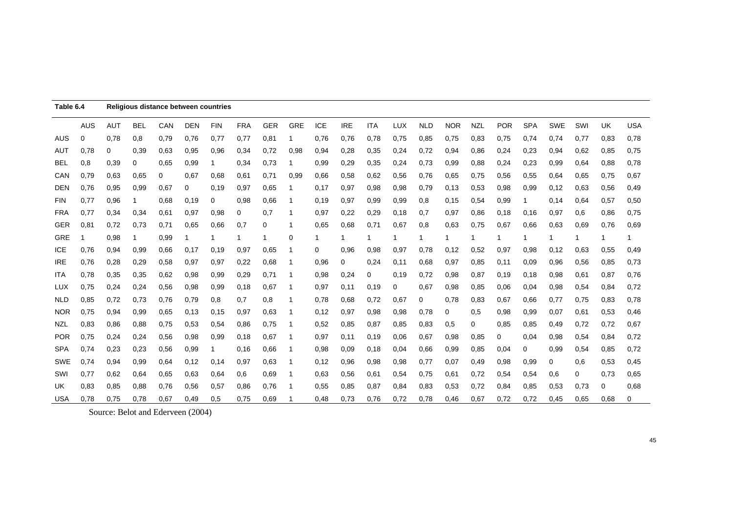| Table 6.4  |            | Religious distance between countries |            |      |            |            |            |            |             |            |            |            |      |            |            |            |            |            |            |      |           |            |
|------------|------------|--------------------------------------|------------|------|------------|------------|------------|------------|-------------|------------|------------|------------|------|------------|------------|------------|------------|------------|------------|------|-----------|------------|
|            | <b>AUS</b> | <b>AUT</b>                           | <b>BEL</b> | CAN  | <b>DEN</b> | <b>FIN</b> | <b>FRA</b> | <b>GER</b> | <b>GRE</b>  | <b>ICE</b> | <b>IRE</b> | <b>ITA</b> | LUX  | <b>NLD</b> | <b>NOR</b> | <b>NZL</b> | <b>POR</b> | <b>SPA</b> | <b>SWE</b> | SWI  | <b>UK</b> | <b>USA</b> |
| <b>AUS</b> | 0          | 0.78                                 | 0,8        | 0.79 | 0,76       | 0,77       | 0.77       | 0,81       | 1           | 0,76       | 0,76       | 0,78       | 0,75 | 0,85       | 0,75       | 0.83       | 0,75       | 0.74       | 0,74       | 0,77 | 0.83      | 0,78       |
| <b>AUT</b> | 0,78       | 0                                    | 0,39       | 0.63 | 0,95       | 0,96       | 0,34       | 0,72       | 0,98        | 0,94       | 0,28       | 0,35       | 0,24 | 0,72       | 0,94       | 0.86       | 0,24       | 0,23       | 0,94       | 0,62 | 0,85      | 0,75       |
| <b>BEL</b> | 0,8        | 0,39                                 | 0          | 0.65 | 0,99       |            | 0,34       | 0,73       | 1           | 0,99       | 0,29       | 0,35       | 0,24 | 0,73       | 0,99       | 0,88       | 0,24       | 0,23       | 0,99       | 0.64 | 0,88      | 0,78       |
| CAN        | 0,79       | 0,63                                 | 0.65       | 0    | 0,67       | 0,68       | 0,61       | 0,71       | 0,99        | 0,66       | 0,58       | 0,62       | 0,56 | 0,76       | 0.65       | 0,75       | 0,56       | 0,55       | 0,64       | 0,65 | 0,75      | 0,67       |
| <b>DEN</b> | 0,76       | 0,95                                 | 0,99       | 0.67 | 0          | 0,19       | 0,97       | 0.65       | 1           | 0,17       | 0,97       | 0,98       | 0,98 | 0,79       | 0,13       | 0,53       | 0,98       | 0,99       | 0,12       | 0.63 | 0,56      | 0,49       |
| <b>FIN</b> | 0,77       | 0,96                                 | 1          | 0.68 | 0,19       | $\Omega$   | 0,98       | 0.66       | -1          | 0,19       | 0,97       | 0,99       | 0,99 | 0,8        | 0,15       | 0,54       | 0,99       | 1          | 0,14       | 0.64 | 0,57      | 0,50       |
| <b>FRA</b> | 0,77       | 0,34                                 | 0,34       | 0,61 | 0,97       | 0,98       | 0          | 0,7        | 1           | 0,97       | 0,22       | 0,29       | 0,18 | 0,7        | 0,97       | 0,86       | 0,18       | 0,16       | 0,97       | 0,6  | 0,86      | 0,75       |
| <b>GER</b> | 0,81       | 0,72                                 | 0.73       | 0,71 | 0.65       | 0,66       | 0,7        | 0          | 1           | 0,65       | 0,68       | 0,71       | 0.67 | 0,8        | 0.63       | 0,75       | 0,67       | 0.66       | 0.63       | 0.69 | 0,76      | 0,69       |
| <b>GRE</b> | -1         | 0,98                                 | 1          | 0,99 |            |            | 1          | 1          | 0           | 1          |            | 1          | 1    |            |            |            |            |            |            | 1    | 1         | 1          |
| <b>ICE</b> | 0,76       | 0,94                                 | 0,99       | 0,66 | 0,17       | 0,19       | 0,97       | 0,65       | 1           | 0          | 0,96       | 0.98       | 0,97 | 0,78       | 0,12       | 0,52       | 0,97       | 0,98       | 0,12       | 0.63 | 0,55      | 0,49       |
| <b>IRE</b> | 0,76       | 0,28                                 | 0,29       | 0,58 | 0,97       | 0,97       | 0,22       | 0,68       | $\mathbf 1$ | 0,96       | 0          | 0,24       | 0,11 | 0,68       | 0,97       | 0,85       | 0,11       | 0,09       | 0,96       | 0,56 | 0,85      | 0,73       |
| ITA        | 0,78       | 0,35                                 | 0,35       | 0.62 | 0,98       | 0,99       | 0,29       | 0,71       | 1           | 0,98       | 0,24       | 0          | 0.19 | 0,72       | 0,98       | 0,87       | 0,19       | 0,18       | 0,98       | 0,61 | 0,87      | 0,76       |
| LUX        | 0,75       | 0,24                                 | 0,24       | 0,56 | 0,98       | 0,99       | 0,18       | 0.67       | 1           | 0,97       | 0,11       | 0.19       | 0    | 0,67       | 0,98       | 0,85       | 0,06       | 0,04       | 0,98       | 0,54 | 0,84      | 0,72       |
| <b>NLD</b> | 0,85       | 0,72                                 | 0,73       | 0,76 | 0,79       | 0,8        | 0,7        | 0,8        | 1           | 0,78       | 0.68       | 0,72       | 0.67 | 0          | 0,78       | 0,83       | 0,67       | 0,66       | 0,77       | 0,75 | 0,83      | 0,78       |
| <b>NOR</b> | 0,75       | 0,94                                 | 0,99       | 0,65 | 0,13       | 0,15       | 0,97       | 0.63       | 1           | 0,12       | 0,97       | 0,98       | 0,98 | 0,78       | 0          | 0,5        | 0,98       | 0,99       | 0,07       | 0,61 | 0,53      | 0,46       |
| <b>NZL</b> | 0,83       | 0,86                                 | 0,88       | 0,75 | 0,53       | 0,54       | 0,86       | 0,75       | 1           | 0,52       | 0,85       | 0,87       | 0,85 | 0,83       | 0,5        | 0          | 0,85       | 0.85       | 0,49       | 0,72 | 0,72      | 0,67       |
| <b>POR</b> | 0,75       | 0,24                                 | 0,24       | 0,56 | 0,98       | 0,99       | 0,18       | 0,67       | -1          | 0,97       | 0,11       | 0,19       | 0,06 | 0,67       | 0,98       | 0,85       | 0          | 0,04       | 0.98       | 0,54 | 0,84      | 0,72       |
| <b>SPA</b> | 0,74       | 0,23                                 | 0,23       | 0,56 | 0,99       |            | 0,16       | 0,66       | 1           | 0,98       | 0,09       | 0,18       | 0,04 | 0,66       | 0,99       | 0,85       | 0,04       | 0          | 0,99       | 0,54 | 0,85      | 0,72       |
| <b>SWE</b> | 0,74       | 0,94                                 | 0.99       | 0.64 | 0,12       | 0,14       | 0,97       | 0,63       | 1           | 0,12       | 0,96       | 0,98       | 0,98 | 0,77       | 0,07       | 0,49       | 0,98       | 0,99       | 0          | 0,6  | 0,53      | 0,45       |
| SWI        | 0,77       | 0,62                                 | 0,64       | 0,65 | 0.63       | 0,64       | 0,6        | 0,69       | 1           | 0,63       | 0,56       | 0,61       | 0,54 | 0,75       | 0,61       | 0,72       | 0,54       | 0,54       | 0,6        | 0    | 0,73      | 0,65       |
| UK         | 0,83       | 0,85                                 | 0,88       | 0,76 | 0,56       | 0,57       | 0,86       | 0,76       | 1           | 0,55       | 0,85       | 0,87       | 0,84 | 0,83       | 0,53       | 0,72       | 0,84       | 0,85       | 0,53       | 0,73 | 0         | 0,68       |
| <b>USA</b> | 0,78       | 0,75                                 | 0,78       | 0.67 | 0,49       | 0.5        | 0,75       | 0.69       |             | 0,48       | 0,73       | 0.76       | 0,72 | 0,78       | 0,46       | 0,67       | 0,72       | 0,72       | 0,45       | 0,65 | 0,68      | 0          |

Source: Belot and Ederveen (2004)